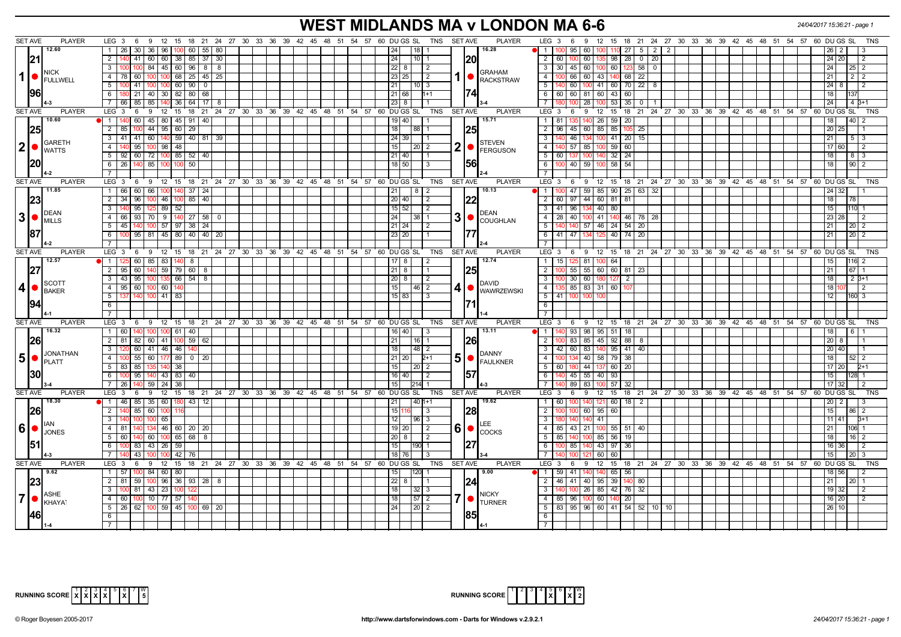# **WEST MIDLANDS MA v LONDON MA 6-6** *24/04/2017 15:36:21 - page 1*

|               | <b>SET AVE</b>                                                       | <b>PLAYER</b>                     | LEG <sub>3</sub><br>6<br>9                                                |                      |    |  |  | 12 15 18 21 24 27 30 33 36 39 42 45 48 51 54 57 60 DUGS SL            | TNS SET AVE          |                         | <b>PLAYER</b>                              | LEG <sub>3</sub><br>12 15 18 21 24 27 30 33 36 39 42 45 48 51 54 57 60 DU GS SL<br>- 6<br>-9 |                            |                                                                        |  |                 |                      | <b>TNS</b>      |
|---------------|----------------------------------------------------------------------|-----------------------------------|---------------------------------------------------------------------------|----------------------|----|--|--|-----------------------------------------------------------------------|----------------------|-------------------------|--------------------------------------------|----------------------------------------------------------------------------------------------|----------------------------|------------------------------------------------------------------------|--|-----------------|----------------------|-----------------|
|               |                                                                      | 12.60                             | 30 36 96<br>l 26<br>$\overline{1}$                                        | 100 60 55 80         |    |  |  | 18 <br> 24                                                            |                      |                         | 16.28                                      | 60<br>$\mathbf{1}$<br>95                                                                     | $27$ 5 2<br>$\overline{2}$ |                                                                        |  |                 | 2                    |                 |
|               | 21                                                                   |                                   | $\overline{2}$<br>41   60   60   38   85   37   30                        |                      |    |  |  | 24                                                                    | $10$ 1               | 20                      |                                            | $\overline{2}$<br>60 135 98<br>60   1                                                        | $28$ 0 20                  |                                                                        |  |                 | 24 20                |                 |
|               |                                                                      |                                   | 84 45 60 96 8 8<br>$\mathbf{3}$                                           |                      |    |  |  | $22 \mid 8$                                                           | $\overline{2}$       |                         |                                            | $\overline{3}$<br>30 45 60 100 60<br>123I                                                    | 58   0                     |                                                                        |  |                 |                      |                 |
| 1             | $\bullet$                                                            | INICK                             | 60<br>$100 \mid 100 \mid 68 \mid 25 \mid 45 \mid 25$<br>$\overline{4}$    |                      |    |  |  | 23 25                                                                 | $\overline{2}$       | 1 ●                     | <b>GRAHAM</b>                              | $100$ 66 60 43 140 68 22<br>$\overline{4}$                                                   |                            |                                                                        |  | 21              |                      | $2 \mid 2$      |
|               |                                                                      | FULLWELL                          | 41   100   100   60   90   0<br>5                                         |                      |    |  |  | 21                                                                    | $\vert$ 10 $\vert$ 3 |                         | <b>RACKSTRAW</b>                           | 5<br>140 60 100 41 60 70 22 8                                                                |                            |                                                                        |  |                 | 124181               |                 |
|               | 96                                                                   |                                   | 180 21 40 30 82 80 68<br>6                                                |                      |    |  |  | 21 68                                                                 | $11+1$               | 1741                    |                                            | 6<br>60 60 81 60 43 60                                                                       |                            |                                                                        |  | 18              |                      |                 |
|               |                                                                      |                                   | 66 85 85 140 36 64 17 8                                                   |                      |    |  |  | $23 \mid 8$                                                           |                      |                         |                                            | $100$ 53 35 0 1<br>28<br>$\overline{7}$                                                      |                            |                                                                        |  | 24              |                      | $4B+1$          |
|               | <b>SET AVE</b>                                                       | <b>PLAYER</b>                     | LEG <sub>3</sub><br>6                                                     |                      |    |  |  | 9 12 15 18 21 24 27 30 33 36 39 42 45 48 51 54 57 60 DUGS SL          | TNS                  | <b>SET AVE</b>          | <b>PLAYER</b>                              | LEG <sub>3</sub><br>9 12 15 18 21 24 27 30 33 36 39 42 45 48 51 54 57 60 DUGS SL<br>- 6      |                            |                                                                        |  |                 |                      | <b>TNS</b>      |
|               |                                                                      | 10.60                             | 60 45 80 45 91 40<br>$\blacksquare$                                       |                      |    |  |  | 19   40                                                               |                      |                         | 15.71                                      | 26 59 20<br>$1 \vert$<br>81<br>140                                                           |                            |                                                                        |  |                 | 40 <sub>1</sub>      |                 |
|               | 25                                                                   |                                   | 44 95 60 29<br>$\overline{2}$                                             |                      |    |  |  | 18<br>88                                                              |                      | 25                      |                                            | $\overline{2}$<br>60 85 85<br>$96$ 45                                                        | 105 25                     |                                                                        |  | 20 <sup>1</sup> | 25                   |                 |
|               |                                                                      |                                   | 41 60 140 59 40 81 39<br>41<br>$\mathbf{3}$                               |                      |    |  |  | 24 39                                                                 |                      |                         |                                            | $\overline{\mathbf{3}}$<br> 46 <br>134 100 41<br>$20 \mid 15$                                |                            |                                                                        |  | 21              |                      | $5 \mid 3$      |
| $ 2  \bullet$ |                                                                      | <b>I</b> GARETH                   | $\overline{4}$<br>95<br>98                                                | 48                   |    |  |  | 15                                                                    | 20   2               | $\overline{\mathbf{2}}$ | <b>STEVEN</b><br>FERGUSON                  | $\overline{4}$<br>140 57<br>85<br>100 59<br>60                                               |                            |                                                                        |  |                 |                      |                 |
|               |                                                                      | <b>WATTS</b>                      | $60$   72   100  <br>5<br>92                                              | $85 \mid 52 \mid 40$ |    |  |  | 21   40                                                               |                      |                         |                                            | 5<br>60<br>32<br>24                                                                          |                            |                                                                        |  | 18              |                      | 8   3           |
|               | 20                                                                   |                                   | 85 100<br>26<br>- 6                                                       | 50<br>100            |    |  |  | $18$ 50                                                               | 3                    | 561                     |                                            | 6<br>59 100 58<br>54<br>100 40                                                               |                            |                                                                        |  | 18              |                      | 90 <sup>2</sup> |
|               |                                                                      |                                   |                                                                           |                      |    |  |  |                                                                       |                      |                         |                                            | $\overline{7}$                                                                               |                            |                                                                        |  |                 |                      |                 |
|               | <b>SET AVE</b>                                                       | <b>PLAYER</b>                     | LEG <sub>3</sub><br>- 6                                                   |                      |    |  |  | 9 12 15 18 21 24 27 30 33 36 39 42 45 48 51 54 57 60 DUGS SL          | TNS                  | <b>SET AVE</b>          | <b>PLAYER</b>                              | LEG <sup>3</sup><br>9 12 15 18 21 24 27 30 33 36 39 42 45 48 51 54 57 60 DUGS SL<br>- 6      |                            |                                                                        |  |                 |                      | <b>TNS</b>      |
|               |                                                                      | 11.85                             | 60<br>$\overline{1}$<br>66<br>66                                          | $37 \mid 24$         |    |  |  | 21                                                                    | 2                    |                         | 10.13                                      | 59<br>$85$   90<br>$-1$<br>$9 \overline{47}$                                                 | $25 \mid 63 \mid 32$       |                                                                        |  |                 |                      |                 |
|               | 23                                                                   |                                   | $2 \overline{34}$<br>96<br>  46                                           | $85$   40<br>100     |    |  |  | $20$ 40                                                               | 2                    |                         |                                            | $\overline{2}$<br>44 60 81 81<br>60   97                                                     |                            |                                                                        |  | 18              |                      |                 |
|               |                                                                      |                                   | 95<br>89<br>52                                                            |                      |    |  |  | 15 52                                                                 | 2                    |                         |                                            | $41 \overline{\smash{)}86}$<br>134 40 80                                                     |                            |                                                                        |  | 15              |                      |                 |
|               | 3 •                                                                  | <b>IDEAN</b><br>IMILLS            | $93$ 70 9<br>$\overline{4}$<br>66                                         | $140$ 27 58 0        |    |  |  | 24<br>38 <sup>1</sup>                                                 | $\vert$ 1            |                         | <b>DEAN</b><br>$3$ $\bullet$ $\sim$ $\sim$ | $28 \mid 40$<br>100 41 140 46 78 28<br>4                                                     |                            |                                                                        |  | 23              | 28                   |                 |
|               |                                                                      |                                   | -5<br>45                                                                  | 57   97   38   24    |    |  |  | 21   24                                                               | 2                    |                         |                                            | 57 46 24 54 20<br>5 <sup>7</sup><br>140 140                                                  |                            |                                                                        |  | 21              |                      | 20 <sub>2</sub> |
|               | 187                                                                  |                                   | 95   81   45   80   40   40  <br>6                                        |                      | 20 |  |  | 23 20                                                                 |                      |                         |                                            | 6   41   47<br>134 125 40                                                                    | 74 20                      |                                                                        |  | 21              | 20 <sub>1</sub>      |                 |
|               |                                                                      |                                   |                                                                           |                      |    |  |  |                                                                       |                      |                         |                                            | $\overline{7}$                                                                               |                            |                                                                        |  |                 |                      |                 |
|               | <b>SET AVE</b>                                                       | <b>PLAYER</b>                     | LEG 3<br>12<br>- 6<br>9                                                   |                      |    |  |  | 15 18 21 24 27 30 33 36 39 42 45 48 51 54 57 60 DUGS SL               | TNS SET AVE          |                         | <b>PLAYER</b>                              | $LEG_3$ 6<br>9 12 15 18 21 24 27 30 33 36 39 42 45 48 51 54 57 60 DUGS SL                    |                            |                                                                        |  |                 |                      | <b>TNS</b>      |
|               |                                                                      | 12.57                             | 111<br>$60$   85   83                                                     | 140<br>8             |    |  |  | $17$ 8                                                                | $\overline{2}$       |                         | 12.74                                      | $\overline{1}$<br>15   125   81   100   64                                                   |                            |                                                                        |  | 15 <sup>1</sup> | 116                  | 2               |
|               | 27                                                                   |                                   | 60<br>2<br>95                                                             | 59 79 60 8           |    |  |  | $21 \mid 8$                                                           | -1                   | 25                      |                                            | $\overline{2}$<br>$55 \mid 60 \mid 60 \mid 81 \mid 23$<br>55                                 |                            |                                                                        |  | 21              |                      | 67 1            |
|               |                                                                      | <b>SCOTT</b>                      | 100 135 66 54 8<br>$\mathbf{3}$<br>95<br>  43                             |                      |    |  |  | 20 8                                                                  | $\overline{2}$       |                         | <b>DAVID</b>                               | $\overline{\mathbf{3}}$<br>60 180 127<br>$100$ 30<br>2 <sub>1</sub>                          |                            |                                                                        |  | 18              |                      | $2, 3+1$        |
| (4)           |                                                                      | BAKER                             | 60 100 60<br>$\overline{4}$<br>95                                         |                      |    |  |  | 15                                                                    | $46$   2             | $\vert 4 \vert$         | <b>WAWRZEWSKI</b>                          | $\overline{4}$<br>85 83 31 60                                                                |                            |                                                                        |  | 18              |                      |                 |
|               |                                                                      |                                   | 140 <sub>1</sub><br>$100$ 41 83<br>5                                      |                      |    |  |  | $15$ 83                                                               | l 3                  |                         |                                            | 5<br>41 100<br>100 <sub>1</sub>                                                              |                            |                                                                        |  | 12              |                      | 160 3           |
|               | 194                                                                  |                                   | 6                                                                         |                      |    |  |  |                                                                       |                      |                         |                                            | 6                                                                                            |                            |                                                                        |  |                 |                      |                 |
|               |                                                                      |                                   |                                                                           |                      |    |  |  |                                                                       |                      |                         |                                            |                                                                                              |                            |                                                                        |  |                 |                      |                 |
|               | <b>SET AVE</b>                                                       | <b>PLAYER</b>                     | 6 9 12 15 18 21 24 27 30 33 36 39 42 45 48 51 54 57 60 DUGS SL<br>$LEG_3$ |                      |    |  |  |                                                                       | TNS                  | SET AVE                 | <b>PLAYER</b>                              | $LEG^{\cdot}$ 3<br>9 12 15 18 21 24 27 30 33 36 39 42 45 48 51 54 57 60 DUGSSL<br>6          |                            |                                                                        |  |                 |                      | <b>TNS</b>      |
|               |                                                                      | 16.32                             | 100 100 61 40<br>$\overline{1}$<br>60<br><b>81</b>                        |                      |    |  |  | 16 40                                                                 | 3                    |                         | 13.11                                      | 140 93 98 95 51 18<br>$\overline{1}$                                                         |                            |                                                                        |  |                 |                      | $6 \mid 1$      |
|               | 26                                                                   |                                   | $\overline{2}$<br>82 60 41 100                                            | $59 \mid 62$         |    |  |  | 21                                                                    | $16$   1             | 26                      |                                            | $\overline{2}$<br>85 45 92 88 8<br>100 83                                                    |                            |                                                                        |  |                 | $20 \mid 8$<br>20 40 |                 |
|               |                                                                      | <b>JONATHAN</b>                   | 60   41   46   46  <br>3<br>55 60 177 89 0 20<br>$\overline{4}$           |                      |    |  |  | 18 <sup>1</sup>                                                       | 48 2                 |                         | <b>DANNY</b>                               | 83 140 95 41 40<br>$\mathbf{3}$<br>$42 \mid 60 \mid$<br>40 58 79<br>$\overline{4}$<br>38     |                            |                                                                        |  |                 |                      |                 |
|               | $\vert 5 \vert$ $\bullet$ $\vert_{\texttt{PLATT}}^{\texttt{JONAll}}$ |                                   | 85<br>38<br>5 83                                                          |                      |    |  |  | 21   20  <br>15                                                       | $2+1$<br>2012        | 5 <sub>1</sub>          | $\bigcap_{\mathsf{FAULKNER}}$              | 5<br>44 13<br>20<br>60 I 180<br>60                                                           |                            |                                                                        |  | 18              | 17 20                | $52 \mid 2$     |
|               | <b>30</b>                                                            |                                   | 95<br>  43   83  <br>- 6                                                  | 40                   |    |  |  | $16$   40                                                             | $\overline{2}$       | 157                     |                                            | $55$ 40 93<br>6<br>140 45                                                                    |                            |                                                                        |  | 15 <sub>1</sub> |                      |                 |
|               |                                                                      |                                   | $\overline{7}$<br>59   24  <br>38<br>l 26                                 |                      |    |  |  | 15<br>1214                                                            |                      |                         |                                            | 83<br>$7\overline{ }$<br>DI 89 I<br>100 57<br>32                                             |                            |                                                                        |  | 171             |                      |                 |
|               | <b>SET AVE</b>                                                       | <b>PLAYER</b>                     | $LEG$ 3<br>6 9 12 15 18 21 24 27 30 33 36 39 42 45 48 51 54 57 60 DUGS SL |                      |    |  |  |                                                                       | TNS                  | <b>SET AVE</b>          | <b>PLAYER</b>                              | LEG 3 6<br>9 12 15 18 21 24 27 30 33 36 39 42 45 48 51 54 57 60 DUGS SL                      |                            |                                                                        |  |                 |                      | <b>TNS</b>      |
|               |                                                                      | 148.30                            | 46<br>85 35 60<br>$\overline{1}$                                          | $43 \mid 12$<br>180  |    |  |  | 21                                                                    | $140$ 1+1            |                         | 19.62                                      | $\overline{1}$<br>60<br>60<br>140                                                            | $18$   2                   |                                                                        |  |                 |                      |                 |
|               | 26                                                                   |                                   | 85 60 100<br>$\overline{2}$                                               |                      |    |  |  | 15                                                                    | -3                   | 28                      |                                            | $\overline{2}$<br>60 95 60                                                                   |                            |                                                                        |  | 15 I            | l 86 l               |                 |
|               |                                                                      |                                   | 3<br>65                                                                   |                      |    |  |  | 12                                                                    | $96 \mid 3$          |                         |                                            | $\overline{3}$<br>140<br>41                                                                  |                            |                                                                        |  |                 | 11   41              |                 |
|               | $6  \bullet$                                                         |                                   | $\overline{4}$                                                            | 46 60 20 20          |    |  |  | $19$ 20                                                               | $\overline{2}$       |                         | $60$ $\rm{C}$ $\rm{C}$                     | $\overline{4}$<br>85<br>21<br>51<br>43<br>100 55                                             | 40                         |                                                                        |  |                 |                      |                 |
|               |                                                                      | <b>JONES</b>                      | 140 60 100 65 68 8<br>5<br>60                                             |                      |    |  |  | $20 \mid 8$                                                           | $\overline{2}$       |                         |                                            | 5 <sup>5</sup><br>85<br>19<br>85 56<br>100                                                   |                            |                                                                        |  | 18              |                      | $16$   2        |
|               | 151                                                                  |                                   | 83 43 26<br>59<br>-6                                                      |                      |    |  |  | 15                                                                    |                      | 127                     |                                            | 6<br>100 85<br>43 97<br>36<br>140                                                            |                            |                                                                        |  |                 | 16   36              |                 |
|               |                                                                      |                                   | 43                                                                        | 42                   |    |  |  | 18 76                                                                 |                      |                         |                                            | 60<br>60                                                                                     |                            |                                                                        |  | 15              |                      |                 |
|               | <b>SET AVE</b>                                                       | <b>PLAYER</b>                     | LEG <sub>3</sub><br>15<br>6<br>9<br>12                                    |                      |    |  |  | 18  21  24  27  30  33  36  39  42  45  48  51  54  57  60  DU GS  SL | TNS                  | <b>SET AVE</b>          | <b>PLAYER</b>                              | LEG <sup>®</sup><br>12<br>15<br>-3<br>6<br>9                                                 |                            | 18  21  24  27  30  33  36  39  42  45  48  51  54  57  60  DU  GS  SL |  |                 |                      | <b>TNS</b>      |
|               |                                                                      | $\sqrt{9.62}$                     | 100 84 60 80<br>1 57                                                      |                      |    |  |  | 15<br>120                                                             |                      |                         | 9.00                                       | 56<br>$\sqrt{1}$<br>$59$ 41<br>140<br>140 65                                                 |                            |                                                                        |  |                 | 18   56              |                 |
|               | 23                                                                   |                                   | 2   81<br>59                                                              | 96 36 93 28 8        |    |  |  | $22 \mid 8$                                                           |                      | 24                      |                                            | 46<br>40 95 39<br>2<br>l 41<br>140 <sup>°</sup>                                              | 80                         |                                                                        |  | 21              | 20                   |                 |
|               |                                                                      |                                   | 43 23 <br>$\overline{\mathbf{3}}$<br>81                                   | 100                  |    |  |  | 18                                                                    | 32   3               |                         |                                            | $\overline{\mathbf{3}}$<br>26 85 42 76 32                                                    |                            |                                                                        |  |                 | 19 32                | l 2             |
| 7 •           |                                                                      | <b>ASHE</b><br>KHAYA <sup>-</sup> | $100$ 10 77 57<br>$\overline{4}$<br>60                                    |                      |    |  |  | 18                                                                    | $57$   2             | 7                       | <b>NICKY</b><br><b>TURNER</b>              | 4 85 96<br>20<br>100<br>60 140                                                               |                            |                                                                        |  |                 | 16 20                | $\overline{2}$  |
|               |                                                                      |                                   | 26 62 100 59 45 100 69 20<br>5                                            |                      |    |  |  | 24                                                                    | $\sqrt{20}$ 2        |                         |                                            | 5<br>83   95   96   60   41   54   52   10   10                                              |                            |                                                                        |  |                 | 26 10                |                 |
|               | <b>146</b>                                                           |                                   | - 6                                                                       |                      |    |  |  |                                                                       |                      | 85                      |                                            | 6                                                                                            |                            |                                                                        |  |                 |                      |                 |
|               |                                                                      |                                   |                                                                           |                      |    |  |  |                                                                       |                      |                         |                                            | $\overline{7}$                                                                               |                            |                                                                        |  |                 |                      |                 |



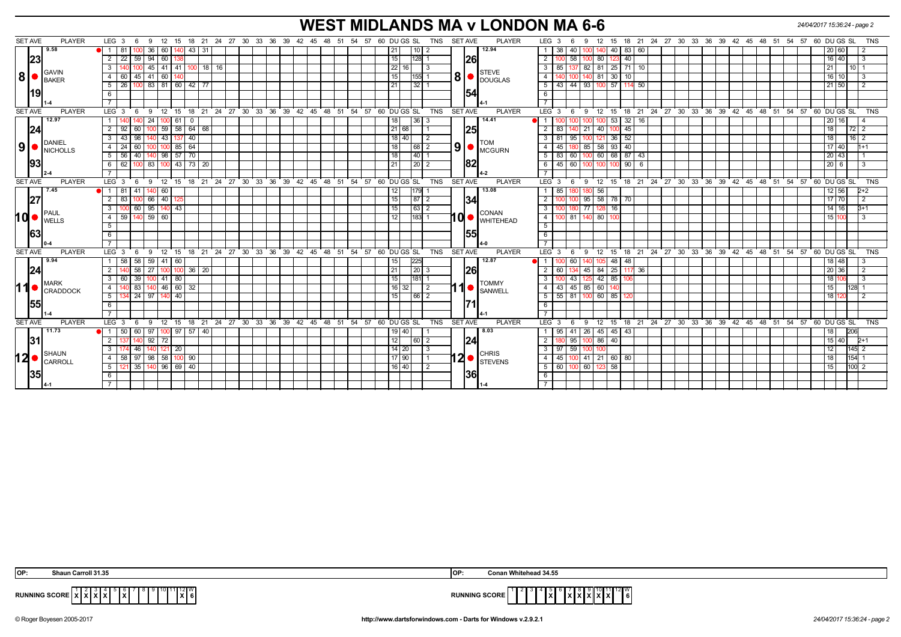# **WEST MIDLANDS MA v LONDON MA 6-6** *24/04/2017 15:36:24 - page 2*

| <b>SET AVE</b>                                                                                 | <b>PLAYER</b> | LEG <sub>3</sub><br>9 12<br>- 6                                | 15                                                          |          | 18 21 24 27 30 33 36 39 42 45 48 51 54 57 |       | TNS<br>60 DU GS SL                | <b>SET AVE</b><br><b>PLAYER</b>                                    | LEG <sub>3</sub><br>9<br>12 15<br>-6                | 18 21 24 27 30 33 36 39 42 45 48 51 54 57 |          |                  | 60 DU GS SL<br><b>TNS</b>                                          |
|------------------------------------------------------------------------------------------------|---------------|----------------------------------------------------------------|-------------------------------------------------------------|----------|-------------------------------------------|-------|-----------------------------------|--------------------------------------------------------------------|-----------------------------------------------------|-------------------------------------------|----------|------------------|--------------------------------------------------------------------|
| 9.58                                                                                           |               | 81<br>36   60                                                  | 43   31                                                     |          |                                           |       | $10$   2<br>21                    | 12.94                                                              | 38 40                                               | 83   60                                   |          |                  |                                                                    |
| 23                                                                                             |               | $2 \mid 22$<br>$59 \mid 94 \mid 60$                            |                                                             |          |                                           |       | 15<br>128 1                       | 26                                                                 | $\overline{2}$<br>$100$ 58<br>80 123<br>100         | 40                                        |          |                  | 16 40<br>-3                                                        |
|                                                                                                |               | 140 100<br>3 I                                                 | 45   41   41   100   18   16                                |          |                                           |       | 22<br>$\vert$ 3<br>16             |                                                                    | $\overline{\mathbf{3}}$<br>85 137                   | 82   81   25   71   10                    |          |                  | $10$   1<br>21 <sup>1</sup>                                        |
| <b>GAVIN</b><br>$ 8  \bullet  _{\text{BAKER}}$                                                 |               | 60<br>45<br> 41 60<br>41                                       |                                                             |          |                                           |       | 15<br>$155$ 1                     | <b>STEVE</b><br>$\vert 8 \vert$ $\bullet$ $\vert_{\text{DOUGLAS}}$ | $140$ 81 30<br>$\overline{4}$                       | 10 <sup>1</sup>                           |          |                  | $16$   $10$                                                        |
|                                                                                                |               | $5 \mid 26$<br>100                                             | 83 81 60 42 77                                              |          |                                           |       | 32 1<br>21                        |                                                                    | 93 100 57<br>5<br>$43 \mid 44$                      | 114<br>50                                 |          |                  | 21 50                                                              |
| 19                                                                                             |               | 6                                                              |                                                             |          |                                           |       |                                   | 54                                                                 | 6                                                   |                                           |          |                  |                                                                    |
|                                                                                                |               |                                                                |                                                             |          |                                           |       |                                   |                                                                    | $\overline{7}$                                      |                                           |          |                  |                                                                    |
| <b>SET AVE</b>                                                                                 | <b>PLAYER</b> | LEG $3 \quad 6$                                                | 9 12 15 18 21 24 27 30 33 36 39 42 45 48 51 54 57           |          |                                           |       | 60 DU GS SL<br><b>TNS</b>         | <b>SET AVE</b><br><b>PLAYER</b>                                    | $LEG^3$ 3<br>- 6                                    |                                           |          |                  | 9 12 15 18 21 24 27 30 33 36 39 42 45 48 51 54 57 60 DU GS SL  TNS |
| 12.97                                                                                          |               | 24                                                             | 61<br>$^{\circ}$                                            |          |                                           |       | 36 3<br>18                        | 14.41                                                              |                                                     | $32$   16<br>0 <sub>53</sub>              |          |                  | 20 <sup>1</sup>                                                    |
| 24                                                                                             |               | 92<br>$100$ 59<br>2 I<br>60                                    | 58   64   68                                                |          |                                           |       | 21 68                             | 25                                                                 | 21<br>83<br>2<br>40 100                             | 45                                        |          |                  | 18                                                                 |
|                                                                                                |               | 98<br>43<br>140 43<br>3 I                                      | 40<br>137                                                   |          |                                           |       | 18 40<br>  2                      |                                                                    | 81<br>3<br>  95<br>100<br>-12                       | 52<br>36                                  |          |                  | $16 \mid 2$<br>18                                                  |
| DANIEL<br>$\left  9 \right $ $\bullet$ $\left  \frac{\text{DAINIEL}}{\text{NICHOLLS}} \right $ |               | $4 \mid 24$<br>60                                              | 85<br>64<br>100                                             |          |                                           |       | 68 2<br>18                        | <b>TOM</b><br> 9 <br>I MCGURN                                      | 85<br>$\overline{4}$<br>45<br>58 93                 | 40                                        |          |                  | $1 + 1$<br>17140                                                   |
|                                                                                                |               | 5 56 40                                                        | 140 98 57 70                                                |          |                                           |       | 18<br> 40 1                       |                                                                    | 5<br>83   60  <br>1001                              | 60 68 87 43                               |          |                  | $20 \mid 43$                                                       |
| 93                                                                                             |               | 62<br>83 100 43<br>6 I<br>100                                  | 73 20                                                       |          |                                           |       | 21<br>$\sqrt{20}$ 2               | 82                                                                 | 6<br>$45 \ 60$<br>100                               | 90<br>- 6                                 |          |                  | 20 6                                                               |
|                                                                                                |               |                                                                |                                                             |          |                                           |       |                                   |                                                                    | $\overline{7}$                                      |                                           |          |                  |                                                                    |
| <b>SET AVE</b>                                                                                 | <b>PLAYER</b> | $LEG_3$ 6<br>$9 \t12$                                          | 15                                                          |          | 18 21 24 27 30 33 36 39 42 45 48 51       |       | 54 57 60 DU GS SL<br><b>TNS</b>   | <b>SET AVE</b><br><b>PLAYER</b>                                    | LEG 3<br>$12 \quad 15$<br>6<br>9                    |                                           |          |                  | 18 21 24 27 30 33 36 39 42 45 48 51 54 57 60 DUGS SL<br>TNS        |
| 7.45                                                                                           |               | 118141<br>140 60                                               |                                                             |          |                                           |       | 179 1<br>12                       | 13.08                                                              | 85<br>56<br>$\mathbf{1}$<br>1801                    |                                           |          |                  | 12 56<br>$2+2$                                                     |
| 27                                                                                             |               | 66 40<br>83<br>10                                              | 12                                                          |          |                                           |       | 15<br> 87 2                       | 34                                                                 | $95$ 58 78<br>$\overline{2}$                        | 70                                        |          |                  | $17$ 70<br>$\overline{2}$                                          |
|                                                                                                |               | 100 60<br>$95$ 140 43<br>$\mathbf{3}$                          |                                                             |          |                                           |       | 15<br> 63 2                       |                                                                    | $\overline{77}$<br>$\overline{3}$                   | $3 \overline{16}$                         |          |                  | $14$ 16<br>$B+1$                                                   |
| $10$ $\bullet$ $\frac{100}{100}$                                                               |               | $59$ 140 59 60<br>4 I                                          |                                                             |          |                                           |       | $\overline{12}$<br>$183$ 1        | <b>CONAN</b><br>10<br><b>WHITEHEAD</b>                             | $\overline{4}$<br>100 81 140 80 100                 |                                           |          |                  | 15 100<br>l 3                                                      |
|                                                                                                |               | 5 <sup>5</sup>                                                 |                                                             |          |                                           |       |                                   |                                                                    | 5                                                   |                                           |          |                  |                                                                    |
| 63                                                                                             |               | 6                                                              |                                                             |          |                                           |       |                                   | 155                                                                | $6\overline{6}$                                     |                                           |          |                  |                                                                    |
|                                                                                                |               |                                                                |                                                             |          |                                           |       |                                   |                                                                    |                                                     |                                           |          |                  |                                                                    |
| <b>SET AVE</b>                                                                                 | <b>PLAYER</b> | LEG <sub>3</sub><br>12<br>9<br>- 6                             | ່ 18 ່ 21<br>15                                             | 24 27 30 | 33 36 39 42 45 48 51                      | 54 57 | 60 DU GS SL<br><b>TNS</b>         | <b>SET AVE</b><br><b>PLAYER</b>                                    | LEG <sup>'</sup><br>12<br>3<br>9<br>- 6             | 18 21 24 27 30 33 36<br>15                | 39 42 45 | $48 \t 51$<br>54 | 57<br>60 DU GS SL<br>TNS                                           |
| 9.94                                                                                           |               | 58<br>58<br>59   41                                            | 60                                                          |          |                                           |       | 225<br>15                         | 12.87                                                              | $\cdot$ 1 $\cdot$<br>60                             | 48<br>5 48                                |          |                  |                                                                    |
| 24                                                                                             |               | 140 58<br>27   100   100                                       | 36 20                                                       |          |                                           |       | $\sqrt{21}$<br>$\vert 20 \vert 3$ | <b>26</b>                                                          | $\overline{2}$<br>45<br>84 25<br>60   134           | 117 36                                    |          |                  | 20 36<br>$\overline{2}$                                            |
|                                                                                                |               | $\sqrt{39}$<br>$100$ 41 80<br>60<br>3 I                        |                                                             |          |                                           |       | 15<br>181 1                       |                                                                    | $\overline{\mathbf{3}}$<br>42 85<br>$100$ 43<br>125 | 106                                       |          |                  |                                                                    |
| <b>MARK</b><br>$\bullet$ $ $ CRADDOCK                                                          |               | 83<br>140   46  <br>4<br>140                                   |                                                             |          |                                           |       | 16<br>32 I<br>$\frac{12}{2}$      | <b>TOMMY</b><br>1<br><b>SANWELL</b>                                | 43 45 85 60 140<br>$\overline{4}$                   |                                           |          |                  | 128 1                                                              |
|                                                                                                |               | $\overline{24}$<br>5 <sub>1</sub><br>$\sqrt{97}$<br>134<br>140 | 40                                                          |          |                                           |       | 66 2<br>15                        |                                                                    | 5<br>$55$ 81<br>60 85<br>100                        |                                           |          |                  | 18 <sup>1</sup>                                                    |
| 55                                                                                             |               | 6                                                              |                                                             |          |                                           |       |                                   | <u>1711</u>                                                        | 6                                                   |                                           |          |                  |                                                                    |
|                                                                                                |               |                                                                |                                                             |          |                                           |       |                                   |                                                                    | $\overline{7}$                                      |                                           |          |                  |                                                                    |
| <b>SET AVE</b>                                                                                 | <b>PLAYER</b> | LEG $3 \t6$                                                    | 9 12 15 18 21 24 27 30 33 36 39 42 45 48 51 54 57 60 DUGSSL |          |                                           |       | <b>TNS</b>                        | <b>PLAYER</b><br>SET AVE                                           | LEG <sub>3</sub><br>- 6                             |                                           |          |                  | 9 12 15 18 21 24 27 30 33 36 39 42 45 48 51 54 57 60 DUGSSL<br>TNS |
| 11.73                                                                                          |               | $\bullet$ 1 50 60 97 100 97 57 40                              |                                                             |          |                                           |       | 19 40                             | 8.03                                                               | 26 45 45 43<br>$95$   41<br>$\mathbf{1}$            |                                           |          |                  | 206<br>18 <sup>1</sup>                                             |
| 31                                                                                             |               | $92$ 72<br><sup>2</sup><br>137 140                             |                                                             |          |                                           |       | 12<br>60 2                        | 24                                                                 | $\overline{2}$<br>180 95<br>100 86 40               |                                           |          |                  | $15 \, 40$<br>$2+1$                                                |
|                                                                                                |               | 46<br>3<br>140  121                                            | 20                                                          |          |                                           |       | 14 20<br>-3                       |                                                                    | $\overline{\mathbf{3}}$<br>$97 \mid 59$<br>100      |                                           |          |                  | 145 2<br>12 <sub>1</sub>                                           |
| <b>SHAUN</b><br>12   SHAUN                                                                     |               |                                                                |                                                             |          |                                           |       |                                   |                                                                    |                                                     |                                           |          |                  |                                                                    |
|                                                                                                |               | 58 97<br>$98 \mid 58$<br>4 I                                   | 90<br>100                                                   |          |                                           |       | 17 90                             | <b>CHRIS</b>                                                       | 41 21 60 80<br>$\overline{4}$<br>45   100           |                                           |          |                  | 154 1<br>18                                                        |
|                                                                                                |               | 5   121   35   140   96   69   40                              |                                                             |          |                                           |       | 16 40 <br>$\overline{2}$          | l2 ● <br><b>STEVENS</b>                                            | 60 100 60 123 58<br>$-5$                            |                                           |          |                  | 100 <sub>2</sub><br>  15                                           |
| 35                                                                                             |               | 6                                                              |                                                             |          |                                           |       |                                   | <b>36</b>                                                          | 6                                                   |                                           |          |                  |                                                                    |
|                                                                                                |               |                                                                |                                                             |          |                                           |       |                                   |                                                                    |                                                     |                                           |          |                  |                                                                    |

| OP: | n Carroll 31.35<br>$Ans$<br>lOF | <b>n Whitehead 34.55</b><br>Conan |                                |
|-----|---------------------------------|-----------------------------------|--------------------------------|
|     | 11∥12∥W<br>. .<br>.<br>.<br>. . | <b>RUNNING SCORE</b>              | 1 12 W<br>16 I<br>------------ |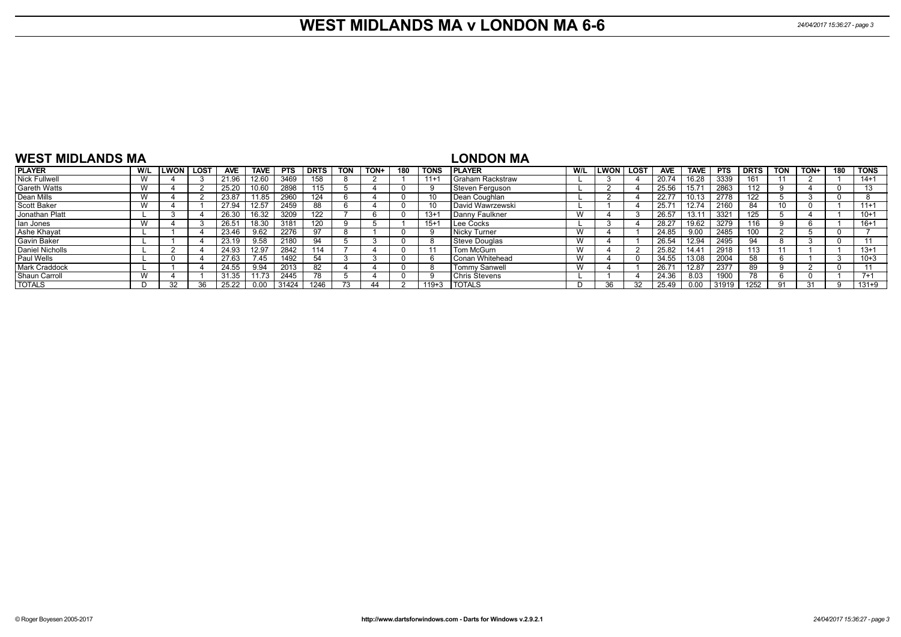#### **WEST MIDLANDS MA v LONDON MA 6-6** *24/04/2017 15:36:27 - page 3*

| <b>WEST MIDLANDS MA</b> |     |        |      |            |             |            |             |            |      |     |             | <b>LONDON MA</b>         |     |                  |            |             |       |             |     |      |     |             |
|-------------------------|-----|--------|------|------------|-------------|------------|-------------|------------|------|-----|-------------|--------------------------|-----|------------------|------------|-------------|-------|-------------|-----|------|-----|-------------|
| <b>PLAYER</b>           | W/L | LWON I | LOST | <b>AVE</b> | <b>TAVE</b> | <b>PTS</b> | <b>DRTS</b> | <b>TON</b> | TON+ | 180 | <b>TONS</b> | <b>IPLAYER</b>           | W/L | <b>LWON LOST</b> | <b>AVE</b> | <b>TAVE</b> | PTS   | <b>DRTS</b> | TON | TON+ | 180 | <b>TONS</b> |
| Nick Fullwell           | W   |        |      | 21.96      | 12.60       | 3469       | 158         |            |      |     | $11+1$      | Graham Rackstraw         |     |                  | 20.74      | 16.28       | 3339  | 161         |     |      |     | $14 + 1$    |
| <b>Gareth Watts</b>     | W   |        |      | 25.20      | 10.60       | 2898       | 115         |            |      |     |             | l Steven Ferauson        |     |                  | 25.56      | 15.71       | 2863  | 112         |     |      |     | 13          |
| Dean Mills              | W   |        |      | 23.87      | 1.85        | 2960       | 124         |            |      |     |             | l Dean Coughlan          |     |                  | 22.77      | 10.13       | 2778  | 122         |     |      |     |             |
| Scott Baker             | W   |        |      | 27.94      | 12.57       | 2459       | 88          |            |      |     |             | David Wawrzewski         |     |                  | 25.7       | 12.74       | 2160  | 84          |     |      |     | $11+1$      |
| Jonathan Platt          |     |        |      | 26.30      | 16.32       | 3209       | 122         |            |      |     | $13 + 7$    | l Dannv Faulkner         | W   |                  | 26.57      | 13.11       | -3321 | 125         |     |      |     | $10+1$      |
| Ian Jones               | W   |        |      | 26.51      | 18.30       | 3181       | 120         |            |      |     | $15+1$      | Lee Cocks                |     |                  | 28.27      | 19.62       | 3279  | 116         |     |      |     | $16 + 1$    |
| Ashe Khayat             |     |        |      | 23.46      | 9.62        | 2276       | 97          |            |      |     |             | l Nickv Turner           | W   |                  | 24.85      | 9.00        | 2485  | 100         |     |      |     |             |
| <b>Gavin Baker</b>      |     |        |      | 23.19      | 9.58        | 2180       | 94          |            |      |     |             | Steve Douglas            | W   |                  | 26.54      | 12.94       | 2495  | 94          |     |      |     |             |
| Daniel Nicholls         |     |        |      | 24.93      | 12.97       | 2842       | 114         |            |      |     |             | Tom McGurn               | W   |                  | 25.82      | 14.41       | 2918  | 113         |     |      |     | $13 + 1$    |
| <b>Paul Wells</b>       |     |        |      | 27.63      | 7.45        | 1492       | 54          |            |      |     |             | <b>I</b> Conan Whitehead | W   |                  | 34.55      | 13.08       | 2004  | 58          |     |      | - 3 | $10 + 3$    |
| <b>Mark Craddock</b>    |     |        |      | 24.55      | 9.94        | 2013       | 82          |            |      |     |             | <b>Tommy Sanwell</b>     | W   |                  | 26.7       | 12.87       | 2377  | 89          |     |      |     |             |
| Shaun Carroll           | W   |        |      | 31.35      | 11.73       | 2445       |             |            |      |     |             | <b>Chris Stevens</b>     |     |                  | 24.36      | 8.03        |       | 78          |     |      |     | $7 + 1$     |
| <b>TOTALS</b>           |     |        |      | 25.22      |             | 31424      | 1246        |            |      |     | $119 + 3$   | <b>TOTALS</b>            | D.  | วค               | 25.49      | 0.00        | 31919 | 1252        |     |      |     | $131 + 9$   |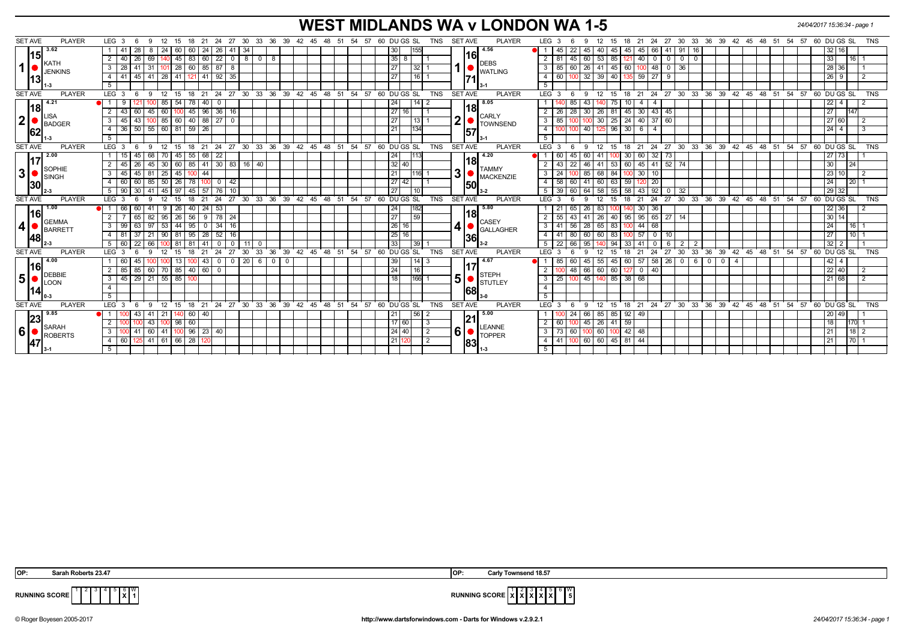# **WEST MIDLANDS WA v LONDON WA 1-5** *24/04/2017 15:36:34 - page 1*

| <b>SET AVE</b> | <b>PLAYER</b>                 | LEG 3                             | - 6                              | -9                 | 12            | 15  | 18                | 21<br>- 24     |                             |                |                  |                    |     | 27 30 33 36 39 42 45 48 51 54 57                           |  |  | 60 DU GS SL     |         | TNS            | <b>SET AVE</b> |     | <b>PLAYER</b>                   | LEG 3            | - 6               | 9               | 12                 | 15 | 18 21                  |                   |                |                               |           |            | 24 27 30 33 36 39 42 45 48 51 54 57 60 DU GS SL      |  |  |           |                 |        | <b>TNS</b>     |
|----------------|-------------------------------|-----------------------------------|----------------------------------|--------------------|---------------|-----|-------------------|----------------|-----------------------------|----------------|------------------|--------------------|-----|------------------------------------------------------------|--|--|-----------------|---------|----------------|----------------|-----|---------------------------------|------------------|-------------------|-----------------|--------------------|----|------------------------|-------------------|----------------|-------------------------------|-----------|------------|------------------------------------------------------|--|--|-----------|-----------------|--------|----------------|
|                | 3.62                          | -41                               | 28                               | -8                 | 24            | 60  | 60                | 24             | 26 I<br>41                  | -34            |                  |                    |     |                                                            |  |  | 30              | 155     |                |                |     | 4.56                            |                  | 45<br>22          | 45              | 40                 | 45 | 45  <br>45             | 66                | -41            | 91<br>16                      |           |            |                                                      |  |  |           | 32 16           |        |                |
| <u> 15 </u>    |                               | 2<br>40                           | 26                               | 69                 |               | 45  | 83                | $\boxed{60}$   | 22<br>$\mathbf 0$           | 8 <sup>1</sup> | $\overline{0}$ 1 | 8                  |     |                                                            |  |  | $35 \mid 8$     |         |                |                | 16  |                                 |                  |                   | 45<br>60        | 53                 | 85 | 40                     | $\mathbf 0$       | $\overline{0}$ | $\overline{0}$<br>$\mathbf 0$ |           |            |                                                      |  |  | 33        |                 | 16     |                |
| 1 <sup>1</sup> | <b>KATH</b><br><b>JENKINS</b> | 3<br>-28                          | 41                               | 31                 |               | 28  | 60                | 85             | 87<br>-8                    |                |                  |                    |     |                                                            |  |  | 27              | l 32 l  |                |                |     | <b>DEBS</b><br><b>WATLING</b>   | 3                | 85<br>60          | 26 <sup>1</sup> | 41                 | 45 | -60 I                  | 48                | 0              | 36                            |           |            |                                                      |  |  |           | 28 36           |        |                |
| <u> 1131</u>   |                               | 4<br>41                           |                                  | $45 \mid 41$       | $28 \mid 41$  |     | 121               | 41             | 92<br>35                    |                |                  |                    |     |                                                            |  |  | 27              | l 16 l  |                |                |     |                                 | 4                | 60                | 32              | 39                 | 40 | 59                     | $\overline{27}$   | - 9            |                               |           |            |                                                      |  |  |           | $26 \mid 9$     |        |                |
|                |                               |                                   |                                  |                    |               |     |                   |                |                             |                |                  |                    |     |                                                            |  |  |                 |         |                |                |     |                                 | 5                |                   |                 |                    |    |                        |                   |                |                               |           |            |                                                      |  |  |           |                 |        |                |
| <b>SET AVE</b> | <b>PLAYER</b>                 | LEG <sub>3</sub>                  |                                  | -9                 | $12 \quad 15$ |     | 18                | $21 \quad 24$  |                             |                |                  |                    |     | 27 30 33 36 39 42 45 48 51 54 57 60 DUGS SL                |  |  |                 |         | <b>TNS</b>     | <b>SET AVE</b> |     | <b>PLAYER</b>                   | $LEG^3$ 3        |                   | -9              | 12                 | 15 | $18$ 21                |                   |                |                               |           |            | 24 27 30 33 36 39 42 45 48 51 54 57 60 DUGS SL       |  |  |           |                 |        | <b>TNS</b>     |
|                | 4.21                          |                                   |                                  |                    | 85 I          | 54  | 78                | 40             | $\mathbf 0$                 |                |                  |                    |     |                                                            |  |  | 24 I            |         |                |                |     | 8.05                            |                  |                   | 85<br>43.       |                    | 75 | 10 I                   |                   |                |                               |           |            |                                                      |  |  | $22 \mid$ | $\overline{4}$  |        |                |
| 18             |                               | 2<br>43 I                         | 60                               | 45                 | 60            | IOO | 45                | $\sqrt{96}$    | $36$ 16                     |                |                  |                    |     |                                                            |  |  | 27 16           |         |                |                | l18 |                                 |                  | 28<br>26          | 30 <sub>1</sub> | 26                 | 81 | 45 30 43 45            |                   |                |                               |           |            |                                                      |  |  | 27        |                 | 147    |                |
| 2              | <b>LISA</b><br>BADGER         | 3<br>45 I                         | 43                               | -100               |               |     |                   |                | 85 60 40 88 27 0            |                |                  |                    |     |                                                            |  |  | 27              | $113$ 1 |                | $2\vert \cdot$ |     | <b>CARLY</b><br><b>TOWNSEND</b> | 3                | 85                |                 |                    |    | 100 30 25 24 40 37 60  |                   |                |                               |           |            |                                                      |  |  |           | 27 60           |        | $\overline{2}$ |
| 62             |                               | 4                                 | 36   50   55   60   81   59   26 |                    |               |     |                   |                |                             |                |                  |                    |     |                                                            |  |  | 21              | 134I    |                |                | 157 |                                 | 4                | 100               |                 |                    |    | 40 125 96 30 6         | $\overline{4}$    |                |                               |           |            |                                                      |  |  |           | $24 \mid 4$     |        | 3              |
|                | -3                            | 5                                 |                                  |                    |               |     |                   |                |                             |                |                  |                    |     |                                                            |  |  |                 |         |                |                |     |                                 | 5                |                   |                 |                    |    |                        |                   |                |                               |           |            |                                                      |  |  |           |                 |        |                |
| <b>SET AVE</b> | <b>PLAYER</b>                 | $LEG_36$                          |                                  | - 9                |               |     |                   |                |                             |                |                  |                    |     | 12 15 18 21 24 27 30 33 36 39 42 45 48 51 54 57 60 DUGS SL |  |  |                 |         | <b>TNS</b>     | <b>SET AVE</b> |     | <b>PLAYER</b>                   | $LEG \ 3$        | - 6               | $9 \t12$        |                    | 15 |                        |                   |                |                               |           |            | 18 21 24 27 30 33 36 39 42 45 48 51 54 57 60 DUGS SL |  |  |           |                 |        | TNS            |
|                | 2.00                          | 15                                | 45                               | 68                 | 70 I          | 45  | 55                | 68             | 22                          |                |                  |                    |     |                                                            |  |  | 24              |         |                |                |     | 4.20                            |                  | 60                | 45<br>60        |                    |    | 30<br>60               | $32 \mid 73$      |                |                               |           |            |                                                      |  |  | 27        | 73              |        |                |
| <u>117</u>     | SOPHIE                        | 2<br>45 I                         | -26                              | 45                 | 30            | 60  |                   |                | 85 41 30 83 16 40           |                |                  |                    |     |                                                            |  |  | 32 40           |         |                |                | 118 | <b>TAMMY</b>                    |                  | 43<br>22          | 46 I            | 41                 |    | 53 60 45 41 52 74      |                   |                |                               |           |            |                                                      |  |  | 30        |                 | 24     |                |
| 3 <sup>1</sup> | <b>SINGH</b>                  | 3<br>45 I                         |                                  | $45$ 81            | 25            | 45  |                   | 44             |                             |                |                  |                    |     |                                                            |  |  | 21              | $116$ 1 |                | 3 <sup>1</sup> |     | <b>MACKENZIE</b>                | 3 I              | 24                |                 | 85 68              | 84 | $100$ 30               | 10                |                |                               |           |            |                                                      |  |  | 23        | 10 <sub>l</sub> |        | 2              |
| 130            |                               | $\overline{4}$<br>60              | 60                               | 85                 | $50$   26     |     | 78                | 100 I          | 42<br>$\overline{0}$        |                |                  |                    |     |                                                            |  |  | 27 42           |         |                |                | 150 |                                 | $4 \mid 58$      | 60                |                 | $41 \ 60$          | 63 | 59                     | $\overline{20}$   |                |                               |           |            |                                                      |  |  | 24        |                 | 20     |                |
|                |                               | 5 <sub>1</sub><br>90 <sup>1</sup> |                                  | $30 \mid 41$       | $145$   97    |     |                   |                | $145$ 57 76 10              |                |                  |                    |     |                                                            |  |  | 27              |         |                |                |     | $3-2$                           |                  | 39<br>$\sqrt{60}$ | 64 58           |                    | 55 | 58 43 92               |                   | - 0 I          | 32                            |           |            |                                                      |  |  |           | 29 32           |        |                |
| <b>SET AVE</b> | <b>PLAYER</b>                 | $LEG_3$                           | -6                               | -9                 | 12            | 15  | 18                | 24<br>21       |                             |                |                  |                    |     | 27 30 33 36 39 42 45 48 51 54 57 60 DUGS SL                |  |  |                 |         | <b>TNS</b>     | <b>SET AVE</b> |     | <b>PLAYER</b>                   | LEG 3            |                   | 9               | 12                 | 15 | 18<br>$^{\circ}$ 21    | 24                |                |                               |           |            | 27 30 33 36 39 42 45 48 51 54 57 60 DUGS SL          |  |  |           |                 |        | <b>TNS</b>     |
|                | 1.00                          | 66                                | 60                               | 41                 | $9 \mid 26$   |     | $40$   24         |                | 53                          |                |                  |                    |     |                                                            |  |  | 24              |         |                |                |     | 5.80                            |                  | 21<br>65          | 26              | 83                 |    | 30                     | 36                |                |                               |           |            |                                                      |  |  |           | 22 36           |        |                |
| l16l           | <b>GEMMA</b>                  | 2                                 | 65                               | 82                 | $95 \mid 26$  |     | 56                |                | $9 \mid 78 \mid 24$         |                |                  |                    |     |                                                            |  |  | 27              | 59      |                |                | 18  | <b>CASEY</b>                    |                  | 55<br>43          |                 | $41 \overline{26}$ | 40 | 95   95   65   27   14 |                   |                |                               |           |            |                                                      |  |  |           | $30 \mid 14$    |        |                |
| 4 <sup>1</sup> | BARRETT                       | 99<br>3                           | 63                               | 97                 | 53            | 44  | 95                | $\overline{0}$ | 34<br>16                    |                |                  |                    |     |                                                            |  |  | 26 16           |         |                |                |     | <b>GALLAGHER</b>                | 3                | 56<br>41          | 28              | 65                 | 83 | 44                     | 68                |                |                               |           |            |                                                      |  |  | 24        |                 | 16     |                |
| 48             |                               | $\overline{4}$<br>81              | 37                               | 21                 | $90$ 81       |     | 95                | 28             | 52 16                       |                |                  |                    |     |                                                            |  |  | 25 16           |         |                |                | 36  |                                 | 4                | 80<br>41          | 60 l            | 60                 | 83 | 100 57                 | $\mathbf 0$       | 10             |                               |           |            |                                                      |  |  | 27        |                 | 10     |                |
|                |                               | 60<br>5                           | 22                               | 66                 |               | 81  | 81                | 41             | $\Omega$                    | 11             | $^{\circ}$       |                    |     |                                                            |  |  | 33              | 39      |                |                |     | 3-2                             | 5 <sup>5</sup>   | 66<br>22          | 95              |                    | 94 | -33 I                  |                   | 6              | 2 I<br>$\overline{2}$         |           |            |                                                      |  |  | 32        |                 |        |                |
| <b>SET AVE</b> | <b>PLAYER</b>                 | LEG <sub>3</sub>                  | -6                               | 9                  | 12            | 15  | 18                | 21<br>24       | 27                          | 30             | 33 <sup>°</sup>  | 36                 |     | 39 42 45 48 51 54 57 60 DUGS SL                            |  |  |                 |         | <b>TNS</b>     | <b>SET AVE</b> |     | <b>PLAYER</b>                   | LEG <sup>3</sup> |                   | 9               | 12                 | 15 | 18<br>21               | 24                | 27             | $30^{\circ}$                  |           |            | 33 36 39 42 45 48 51 54 57 60 DUGS SL                |  |  |           |                 |        | <b>TNS</b>     |
| l16l           | 4.00                          | 60                                | 45                               |                    |               | 13  |                   | 43             | $\mathbf{0}$<br>$\mathbf 0$ |                |                  | $20 \mid 6 \mid 0$ | - 0 |                                                            |  |  | 39              |         |                |                | 117 | 4.67                            |                  | 85<br>60          | 45              | 55                 | 45 | 60 I<br>57             | $58 \mid 26 \mid$ |                | $0$   6                       | $\cdot$ 0 | $^{\circ}$ | 4                                                    |  |  |           | 42  <br>4       |        |                |
|                | DEBBIE                        | 2<br>85                           | 85                               | 60                 | 70 85         |     | 40   60           |                | $\mathbf{0}$                |                |                  |                    |     |                                                            |  |  | 24              |         |                |                |     | <b>STEPH</b>                    | $\mathbf{2}$     | 1001              | 66 60<br>48     |                    | 60 | $127$ 0                | 40                |                |                               |           |            |                                                      |  |  |           | 22 40           |        | 2              |
| 5 <sup>1</sup> | LOON                          | 3<br>45 <sup>1</sup>              |                                  | $29$ 21            | $55 \ 85$     |     |                   |                |                             |                |                  |                    |     |                                                            |  |  | 18 <sup>1</sup> | 166 1   |                | 5 <sup>1</sup> |     | <b>STUTLEY</b>                  | - 3 I            | 25<br>10          |                 |                    |    | 45 140 85 38 68        |                   |                |                               |           |            |                                                      |  |  |           | 21 68           |        |                |
| ا41.           |                               | 4                                 |                                  |                    |               |     |                   |                |                             |                |                  |                    |     |                                                            |  |  |                 |         |                |                | 68  |                                 | $\overline{4}$   |                   |                 |                    |    |                        |                   |                |                               |           |            |                                                      |  |  |           |                 |        |                |
|                |                               | 5                                 |                                  |                    |               |     |                   |                |                             |                |                  |                    |     |                                                            |  |  |                 |         |                |                |     |                                 | 5                |                   |                 |                    |    |                        |                   |                |                               |           |            |                                                      |  |  |           |                 |        |                |
| <b>SET AVE</b> | <b>PLAYER</b>                 | LEG <sup>3</sup>                  | 6                                | -9                 | 12            | 15  | 18                | 21 24          |                             |                |                  |                    |     | 27 30 33 36 39 42 45 48 51 54 57 60 DUGS SL                |  |  |                 |         | <b>TNS</b>     | <b>SET AVE</b> |     | <b>PLAYER</b>                   | LEG <sub>3</sub> |                   | 9               | - 12               | 15 | 18 21                  |                   |                |                               |           |            | 24 27 30 33 36 39 42 45 48 51 54 57 60 DUGS SL       |  |  |           |                 |        | TNS            |
| 23             | 9.85                          |                                   | 43                               | 41                 | 21            |     | 60                | 40             |                             |                |                  |                    |     |                                                            |  |  | 21              | 56      |                |                | 21  | 5.00                            |                  | 24                | 66              | 85                 | 85 | $92 \mid 49$           |                   |                |                               |           |            |                                                      |  |  | 20        | 49              |        |                |
|                | SARAH                         | $\overline{2}$                    |                                  | 43                 |               | 98  | 60                |                |                             |                |                  |                    |     |                                                            |  |  | 17 60           |         |                |                |     | LEANNE                          | 2 <sup>1</sup>   | 60                |                 | 45 26              | 41 | 59                     |                   |                |                               |           |            |                                                      |  |  | 18        |                 | 170    |                |
| 6              | ROBERTS                       | 3                                 | 41                               | 60                 | 41 100        |     | $96 \mid 23 \mid$ |                | 40                          |                |                  |                    |     |                                                            |  |  | 24   40         |         | $\overline{2}$ | 6              |     | <b>TOPPER</b>                   | 3 <sup>1</sup>   | 73<br>60          |                 | 100 60             |    | $42 \mid 48$           |                   |                |                               |           |            |                                                      |  |  | 21        |                 | $18$ 2 |                |
| 47             |                               | 60<br>$\overline{4}$              |                                  | 125 41 61 66 28 12 |               |     |                   |                |                             |                |                  |                    |     |                                                            |  |  | 21 12           |         | $\overline{2}$ |                | 83  |                                 | $4 \mid 41$      | 10 <sup>°</sup>   |                 |                    |    | 60 60 45 81 44         |                   |                |                               |           |            |                                                      |  |  | 21        |                 |        |                |
|                |                               | 5                                 |                                  |                    |               |     |                   |                |                             |                |                  |                    |     |                                                            |  |  |                 |         |                |                |     |                                 | 5 <sup>5</sup>   |                   |                 |                    |    |                        |                   |                |                               |           |            |                                                      |  |  |           |                 |        |                |

**X** W



**RUNNING SCORE**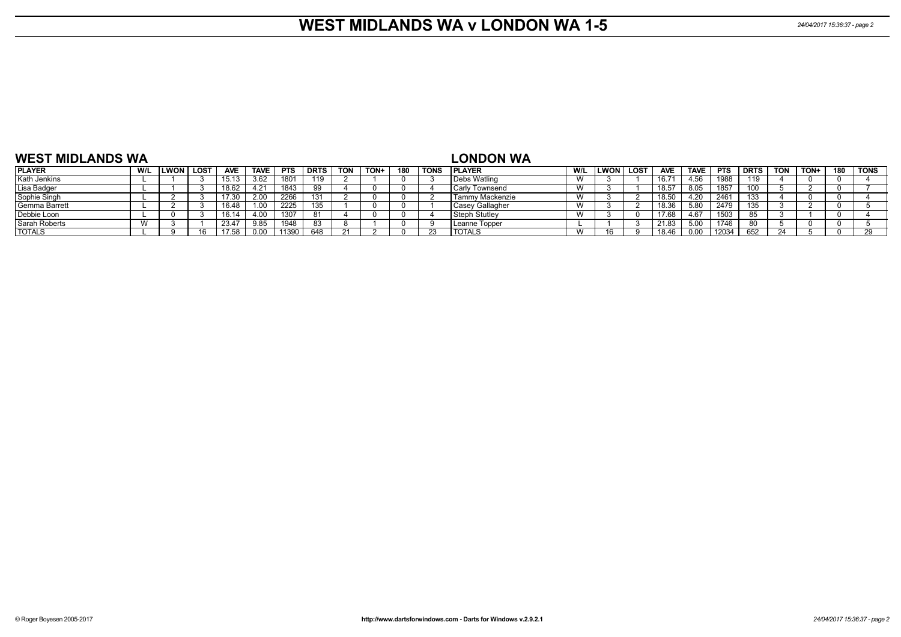### **WEST MIDLANDS WA v LONDON WA 1-5** *24/04/2017 15:36:37 - page 2*

| <b>WEST MIDLANDS WA</b> |           |              |      |            |             |            |             |     |             |     |      | <b>LONDON WA</b>      |     |             |        |            |             |            |             |            |      |     |             |
|-------------------------|-----------|--------------|------|------------|-------------|------------|-------------|-----|-------------|-----|------|-----------------------|-----|-------------|--------|------------|-------------|------------|-------------|------------|------|-----|-------------|
| <b>PLAYER</b>           | W/L       | <b>ILWON</b> | LOST | <b>AVE</b> | <b>TAVE</b> | <b>PTS</b> | <b>DRTS</b> | TON | <b>TON-</b> | 180 | TONS | <b>IPLAYER</b>        | W/L | <b>LWON</b> | l lost | <b>AVE</b> | <b>TAVE</b> | <b>PTS</b> | <b>DRTS</b> | <b>TON</b> | TON+ | 180 | <b>TONS</b> |
| Kath Jenkins            |           |              |      |            | 3.62        | 1801       | 119         |     |             |     |      | Debs Watling          | W   |             |        | 16.7       | +.56        | 1988       | 119         |            |      |     |             |
| Lisa Badger             |           |              |      | 18.62      | 4.21        | 1843       | 99          |     |             |     |      | <b>Carly Townsend</b> | W   |             |        | 18.57      | 8.05        | 1857       |             |            |      |     |             |
| Sophie Singh            |           |              |      | 17.30      | 2.00        | 2266       |             |     |             |     |      | Tammy Mackenzie       | W   |             |        | 18.50      | .20         | 2461       | 133         |            |      |     |             |
| Gemma Barrett           |           |              |      | 16.48      |             | 2225       |             |     |             |     |      | Casey Gallagher       | W   |             |        | 18.36      | 5.80        | 2479       | 135.        |            |      |     |             |
| Debbie Loon             |           |              |      | 16.14      | 4.00        | 1307       | -81         |     |             |     |      | Steph Stutley         | W   |             |        | 17.68      | 4.67        | 1503       |             |            |      |     |             |
| Sarah Roberts           | $\lambda$ |              |      | 23.47      | 9.85        | 1948       | -83         |     |             |     |      | Leanne Topper         |     |             |        | 21.83      | 5.00        | 1746       |             |            |      |     |             |
| <b>TOTALS</b>           |           |              |      |            |             | 11390      | 648         |     |             |     |      | <b>TOTALS</b>         | W   |             |        | 18.46      | n no        | 12034      | 652         |            |      |     |             |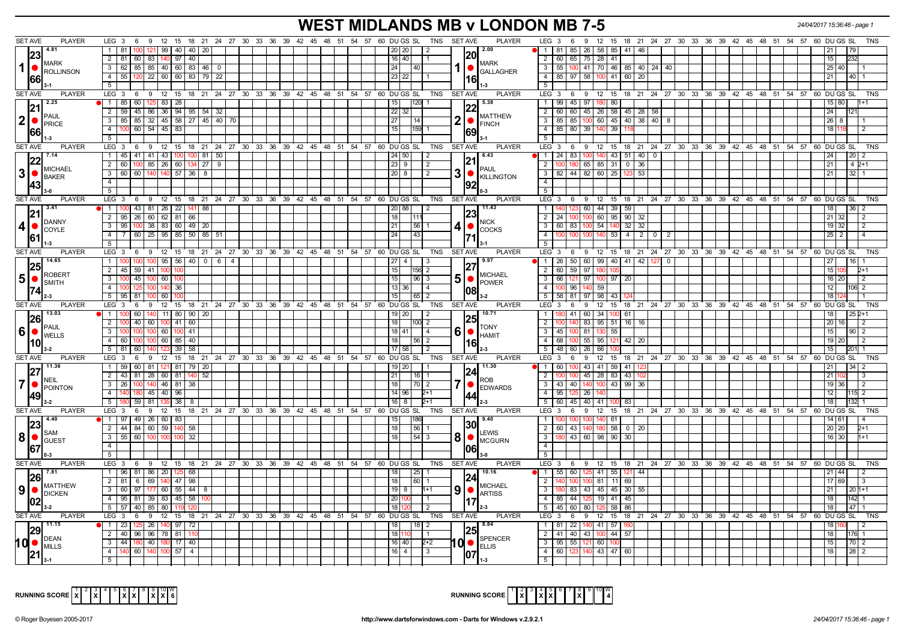# **WEST MIDLANDS MB v LONDON MB 7-5** *24/04/2017 15:36:46 - page 1*

| <b>SET AVE</b><br><b>PLAYER</b>                      | LEG 3 6 9 12 15 18 21 24 27 30 33 36 39 42 45 48 51 54 57 60 DU GS SL TNS SETAVE                  | <b>PLAYER</b><br>LEG 3 6 9 12 15 18 21 24 27 30 33 36 39 42 45 48 51 54 57 60 DUGS SL<br>TNS                |
|------------------------------------------------------|---------------------------------------------------------------------------------------------------|-------------------------------------------------------------------------------------------------------------|
| 4.81                                                 | 121   99   40   40   20<br>12.00<br>1 81<br>20 20                                                 |                                                                                                             |
| 23                                                   | I20I                                                                                              | 81   85   26   58   85   41   46<br>21                                                                      |
| <b>MARK</b>                                          | $2 \mid 81$<br>$60$   83  <br>97<br>40<br>$16$ 40<br><b>MARK</b>                                  | 65 75 28 41<br>15<br>$\overline{2}$<br>l 60 l                                                               |
|                                                      | 3 62 85 85 40 60 83 46 0<br>24<br><b>GALLAGHER</b>                                                | 3   55   100   41   70   46   85   40   24   40  <br>$25 \mid 40$                                           |
| 66                                                   | 4 55 120 22 60 60 83 79 22<br>23 22<br>16                                                         | 4   85   97   58   100   41   60   20                                                                       |
|                                                      | 5                                                                                                 | -5                                                                                                          |
| <b>SET AVE</b><br><b>PLAYER</b>                      | LEG 3 6 9 12 15 18 21 24 27 30 33 36 39 42 45 48 51 54 57 60 DUGS SL<br>TNS SET AVE               | <b>PLAYER</b><br>LEG 3 6 9 12 15 18 21 24 27 30 33 36 39 42 45 48 51 54 57 60 DUGS SL<br><b>TNS</b>         |
| 2.25                                                 | 1 85 60 125 83 28<br>5.38<br>120                                                                  | $\overline{1}$<br>  99   45   97   180   80                                                                 |
|                                                      | 2   59   45   86   36   94   95   54   32<br>22 32                                                | 60 60 45 26 58 45 28 58<br>$\overline{2}$<br>24                                                             |
| PAUL                                                 | <b>MATTHEW</b><br>3 85 85 32 45 58 27 45 40 70<br>27<br>114                                       | 3   85   85   100   60   45   40   38   40   8  <br> 26                                                     |
| $ 2  \bullet  _{\text{PRICE}}^{\text{PAUL}}$         | $\bigcap_{FINCH}$<br>$4 \mid 100 \mid 60 \mid 54 \mid 45 \mid 83$<br>15<br><b>1159 11</b>         | 4   85   80   39   140   39  <br>18                                                                         |
| 1661                                                 | 169                                                                                               |                                                                                                             |
|                                                      | 5 <sup>1</sup>                                                                                    | 5                                                                                                           |
| SET AVE<br><b>PLAYER</b>                             | <b>SET AVE</b><br>LEG 3 6 9 12 15 18 21 24 27 30 33 36 39 42 45 48 51 54 57 60 DUGS SL<br>TNS     | LEG 3 6 9 12 15 18 21 24 27 30 33 36 39 42 45 48 51 54 57 60 DUGS SL<br><b>PLAYER</b><br><b>TNS</b>         |
| 7.14                                                 | 1   45   41   41   43   100   100   81   50  <br>6.43<br>  24   50  <br>$\vert$ 2                 | 1   24   83   100   140   43   51   40   0  <br>$\overline{20}$   2<br> 24                                  |
| <b>IMICHAEL</b>                                      | 2 60 100 85 26 60 134 27 9<br>23 9<br>l 2<br><b>PAUL</b>                                          | 2   100   180   65   85   31   0   36<br>$\sqrt{21}$<br>$42+1$                                              |
| 3 •<br>BAKER                                         | 31<br>3   60   60   140   140   57   36   8<br>$20$ 8<br>l 2<br>KILLINGTON                        | 3   82   44   82   60   25   123   53<br>21<br>$32 \mid 1$                                                  |
|                                                      | $\overline{4}$                                                                                    | $\overline{4}$                                                                                              |
| $3-0$                                                | 5                                                                                                 | 5                                                                                                           |
| <b>SET AVE</b><br><b>PLAYER</b>                      | LEG 3 6 9 12 15 18 21 24 27 30 33 36 39 42 45 48 51 54 57 60 DUGS SL TNS SETAVE                   | <b>PLAYER</b><br>LEG 3 6 9 12 15 18 21 24 27 30 33 36 39 42 45 48 51 54 57 60 DUGS SL<br>TNS                |
| 13.41                                                | 11.43<br>1 100 43 81 26 22 141 88<br>$\overline{2}$<br>20   88                                    | 123 60 44 39 59<br>18                                                                                       |
| 21                                                   | 23 <br>2 95 26 60 62 81 66<br>18                                                                  | 100 100 60 95 90 32<br>21<br>$\overline{2}$<br>$\vert$ 24 $\vert$                                           |
| <b>DANNY</b><br>4 •                                  | 3   95   100   38   83   60   49   20<br>4<br>21<br> 56 1                                         | $\overline{\mathbf{3}}$<br>  60   83   100   54   140   32   32<br>19 32                                    |
| COYLE                                                | <b>COCKS</b><br>4 7 60 25 95 85 50 85 51<br>24<br> 43                                             | $\overline{4}$<br>$100 \mid 100 \mid 100 \mid 140 \mid 53 \mid 4 \mid 2 \mid 0 \mid 2$<br>25                |
| 61                                                   | 5 <sup>1</sup>                                                                                    |                                                                                                             |
| <b>SET AVE</b><br><b>PLAYER</b>                      | LEG 3 6 9 12 15 18 21 24 27 30 33 36 39 42 45 48 51 54 57 60 DUGS SL<br>TNS SET AVE               | <b>PLAYER</b><br>$LEG_36$<br>9 12 15 18 21 24 27 30 33 36 39 42 45 48 51 54 57 60 DUGS SL<br>TNS            |
| 14.65                                                | 1   100   100   100   95   56   40   0   6   4  <br>79.97<br>  27   4                             | 1 26 50 60 99 40 41 42 127 0<br>27<br>$16$   1                                                              |
|                                                      | 2 45 59 41 100<br>100<br>I156L 2                                                                  | 2 60 59 97 180<br>15<br>105                                                                                 |
| ROBERT                                               | 15 I<br><b>MICHAEL</b>                                                                            |                                                                                                             |
| $5$ $\bullet$ $\frac{1000 \text{ F}}{3 \text{ MTH}}$ | 5<br>3 100 45 100 60 100<br>15<br> 96 3<br>$\bullet$ POWER                                        | 3 66 121 97 100 97 20<br>16 20<br>$\overline{2}$                                                            |
|                                                      | $100$ 140 36<br>4 100 125<br>13 36<br><b>4</b>                                                    | 4   100   96   140   59<br>12<br>1061 2                                                                     |
| $2-3$                                                | 5 95 81 100 60 100<br>15<br> 65 2                                                                 |                                                                                                             |
|                                                      |                                                                                                   | 5   58   81   97   98   43  <br>18                                                                          |
| <b>SET AVE</b><br><b>PLAYER</b>                      | LEG 3 6 9 12 15 18 21 24 27 30 33 36 39 42 45 48 51 54 57 60 DUGS SL<br>TNS<br><b>SET AVE</b>     | <b>PLAYER</b><br>LEG 3 6 9 12 15 18 21 24 27 30 33 36 39 42 45 48 51 54 57 60 DUGS SL<br><b>TNS</b>         |
| 13.03                                                | 10.71<br>$1 \quad 100$<br>60<br>$140$ 11 80 90 20<br>19   20                                      | 80 41 60 34 100 61<br>$\overline{1}$<br>18                                                                  |
| <b>26</b>                                            | 25 <br>40 60 100 41 60<br>2 <sup>1</sup>                                                          | $\overline{2}$<br>83 95 51 16 16<br>20                                                                      |
| <b>I</b> PAUL                                        | <b>I</b> TONY<br>6<br>3 <sup>1</sup><br>100 100 60 100<br>41<br>18 41                             | $\mathbf{3}$<br>  45 I<br>100 81 130 55<br>15<br>$90$   2                                                   |
| $ 6 $ $ ^{r_{\text{AUL}}}_{\text{WELLS}}$            | $\bigcap_{HAMIT}$<br>4 60 100 100 60 85<br> 40 <br>18<br>56   2                                   | 68 100 55 95<br>$\overline{4}$<br>$121$ 42 $\overline{20}$<br>19 20                                         |
| 10 <br>$3-2$                                         | 161<br>5 81 60<br>140   123   39   58  <br>17 58                                                  | 5<br>  48   60   26   66<br>15                                                                              |
| <b>SET AVE</b><br><b>PLAYER</b>                      | LEG 3 6 9 12 15 18 21 24 27 30 33 36 39 42 45 48 51 54 57 60 DUGS SL TNS SETAVE                   | <b>PLAYER</b><br>LEG 3 6 9 12 15 18 21 24 27 30 33 36 39 42 45 48 51 54 57 60 DUGS SL<br><b>TNS</b>         |
|                                                      | 1   59   60   81   121   81   79   20<br>19 20                                                    | 1   60   <mark>100</mark>   43   41   59   41   1                                                           |
| $27$ <sup>11.36</sup>                                | $124$ <sup>11.30</sup>                                                                            | 2<br>21                                                                                                     |
| INFIL                                                | 2 43 81 28 60 81 140 52<br>21 I<br>  16   1<br>ROB                                                | 100 100 45 28 83 43 1                                                                                       |
| $7$ $\bullet$ <b>POINTON</b>                         | 3 26 100 140 46 81 38<br>18 I<br> 70 2<br>O<br><b>EDWARDS</b>                                     | 3   43   40   140   100   43   99   36<br>19 36<br>$\vert$ 2                                                |
| 49                                                   | 4   140   180   45   40   96<br>14   96  <br>$2+1$                                                | 4 95 125 26 140<br>12<br>115 2                                                                              |
| $13-2$                                               | $5 \mid 180 \mid 59 \mid 81 \mid 135 \mid 38 \mid 8 \mid$<br>$16$   8<br>$2+1$                    | 5   60   45   40   41   100   83  <br>18                                                                    |
| <b>SET AVE</b><br><b>PLAYER</b>                      | 9 12 15 18 21 24 27 30 33 36 39 42 45 48 51 54 57 60 DUGSSL<br>TNS<br><b>SET AVE</b><br>$LEG_3$ 6 | <b>PLAYER</b><br>9 12 15 18 21 24 27 30 33 36 39 42 45 48 51 54 57 60 DUGS<br>$LEG_3 6$<br>SL<br><b>TNS</b> |
| $\sqrt{4.40}$                                        | $\bullet$ 1   97   49   26   60   83<br>9.40<br><b>1186</b><br>15<br><b>30</b>                    | 100 100 100 140 61<br>14 61<br>$\overline{1}$                                                               |
| SAM                                                  | 2 44 84 60 59 140<br> 56 <br>58<br>18<br>LEWIS                                                    | 2 60 43 140 180 58 0 20<br>20 20<br>$2+1$                                                                   |
| 8 ●<br><b>GUEST</b>                                  | 8<br>3 55 60 100 100<br> 54 3<br>-32<br>18<br>$\bullet$<br><b>MCGURN</b>                          | $\overline{\mathbf{3}}$<br>180 43 60 98 90 30<br>16 30                                                      |
|                                                      | $\overline{4}$                                                                                    |                                                                                                             |
| 67                                                   | 5 <sup>5</sup>                                                                                    |                                                                                                             |
| <b>SET AVE</b><br><b>PLAYER</b>                      | LEG $3 \quad 6$<br>9 12 15 18 21 24 27 30 33 36 39 42 45 48 51 54 57 60 DUGS SL<br>TNS SET AVE    | PLAYER<br>LEG 3 6 9 12 15 18 21 24 27 30 33 36 39 42 45 48 51 54 57 60 DUGS SL<br>TNS                       |
| 17.81                                                | 1   96   81   86   20   125   68  <br>10.16<br>  25   1                                           | 1   55   60   125   41   55   121   44<br>$21 \mid 44$                                                      |
| <b>26</b>                                            | 124<br>2 81 6 69 140 47 98<br>18 I<br>1601                                                        | 140   100   100   81   11   69  <br>17 69<br>2                                                              |
| MATTHEW                                              | <b>MICHAEL</b><br>9<br>3   60   97   177   60   55   44   8<br>$19$ 8<br>$H + 1$                  | 3   180   83   43   45   45   30   55<br>21<br>$201+1$                                                      |
| $90$ DICKEN                                          | <b>O</b> ARTISS<br>4   95   81   39   83   45   58  <br>20                                        | 4   85   44   125   19   41   45  <br>18<br>142                                                             |
| 102                                                  | 17<br>$5 \mid 57 \mid 40 \mid 85 \mid 80 \mid$<br>18                                              | 5   45   60   80   125   58   86<br>18                                                                      |
| <b>SET AVE</b><br><b>PLAYER</b>                      | LEG 3 6 9 12 15 18 21 24 27 30 33 36 39 42 45 48 51 54 57 60 DUGS SL TNS SETAVE                   | <b>PLAYER</b><br>LEG 3 6 9 12 15 18 21 24 27 30 33 36 39 42 45 48 51 54 57 60 DUGS<br>SL                    |
| 11.15                                                | $1 \t 23 \t 125 \t 26 \t 140 \t 97 \t 72$<br><b>B.84</b><br>l 18 I 2                              | $\overline{1}$<br>  81   22   140   41   57   160                                                           |
|                                                      | 18                                                                                                |                                                                                                             |
| <b>IDEAN</b>                                         | 2 40 96 96 78 81<br><b>SPENCER</b>                                                                | 41 40 43 100 44 57<br>$\overline{2}$<br>18<br>10 <sup>c</sup>                                               |
| $10$ $\bullet$ $\sim$                                | 3 44 180 40 180 17 40<br>16 40 <br>$2 + 2$<br>$\big \bullet\big _{\text{ELLS}}$                   | 3   95   55   121   60<br>15<br>70 2                                                                        |
|                                                      | 4 140 60 140 100 57 4<br>$\overline{3}$<br>16   4  <br>5                                          | 4 60 123 140 43 47 60<br>18<br>$28 \mid 2$                                                                  |



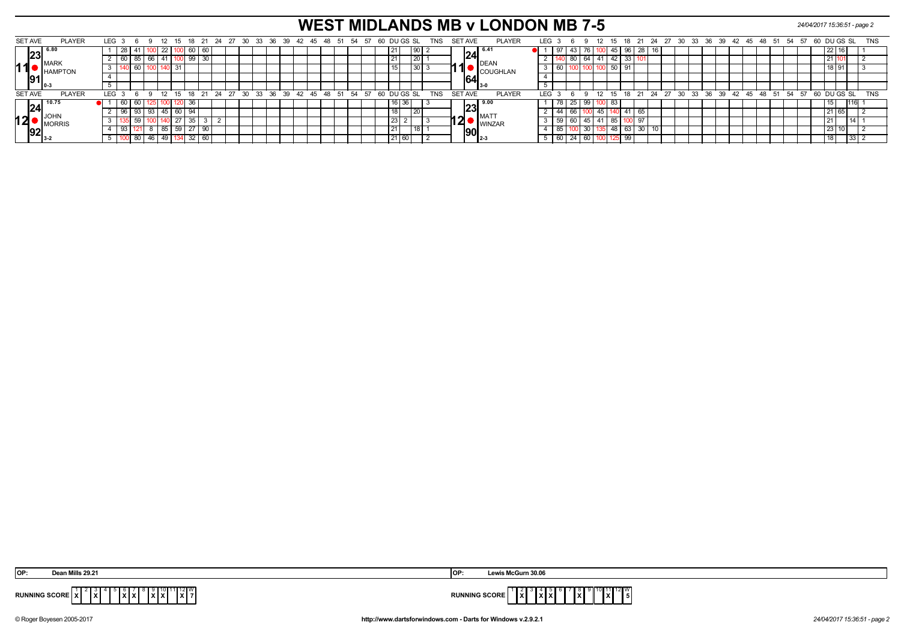# **WEST MIDLANDS MB v LONDON MB 7-5** *24/04/2017 15:36:51 - page 2*

| SET AVE        |                | <b>PLAYER</b>  | LEG <sub>3</sub> | 69 |          | - 12   |                 | 18 |              | 21 24                                  | 27 30 |  | 33 36 39 |  |  |      |              | 42  45  48  51  54  57  60  DU  GS  SL |       |      |                 | TNS | SET AVE |                |                                           | <b>PLAYER</b> | LEG 3      |    |         |    | -12  | - 15     |    |             | 18 21 24 27 30 |  |  |  | 33 36 39 42 45 48 51 54 |  |                                           | - 57 | 60 DU GS SL   |  |    | <b>TNS</b> |
|----------------|----------------|----------------|------------------|----|----------|--------|-----------------|----|--------------|----------------------------------------|-------|--|----------|--|--|------|--------------|----------------------------------------|-------|------|-----------------|-----|---------|----------------|-------------------------------------------|---------------|------------|----|---------|----|------|----------|----|-------------|----------------|--|--|--|-------------------------|--|-------------------------------------------|------|---------------|--|----|------------|
|                | - 16.8<br>199. |                |                  | 41 |          | - 22 I |                 | 60 | 60           |                                        |       |  |          |  |  |      |              |                                        | 21    |      | l 90 l          |     |         |                | l 6.41<br> 24                             |               |            |    |         |    |      | JUI 45 I |    | 96          |                |  |  |  |                         |  |                                           |      |               |  |    |            |
|                |                | <b>MARK</b>    |                  | 85 | 66   41  |        |                 |    | 99 30        |                                        |       |  |          |  |  |      |              |                                        | 121   |      | 20 <sup>1</sup> |     |         |                |                                           | <b>DEAN</b>   |            |    |         |    | 64   | 41 42    |    | 33          |                |  |  |  |                         |  |                                           |      |               |  |    |            |
| 11             |                | <b>HAMPTON</b> |                  | 60 |          |        | $\overline{31}$ |    |              |                                        |       |  |          |  |  |      |              |                                        | 15    |      | 30 <sub>1</sub> |     |         | . Т            |                                           | COUGHLAN      |            |    | 60   10 |    |      |          | 50 | 91          |                |  |  |  |                         |  |                                           |      |               |  |    |            |
|                |                |                |                  |    |          |        |                 |    |              |                                        |       |  |          |  |  |      |              |                                        |       |      |                 |     |         |                | 64                                        |               |            |    |         |    |      |          |    |             |                |  |  |  |                         |  |                                           |      |               |  |    |            |
|                |                |                |                  |    |          |        |                 |    |              |                                        |       |  |          |  |  |      |              |                                        |       |      |                 |     |         |                |                                           |               |            |    |         |    |      |          |    |             |                |  |  |  |                         |  |                                           |      |               |  |    |            |
| <b>SET AVE</b> |                | <b>PLAYER</b>  | LEG <sub>3</sub> |    | $\alpha$ | 12     |                 |    |              | 15 18 21 24 27 30 33 36 39 42 45 48 51 |       |  |          |  |  | - 54 | $57^{\circ}$ | 60 DUGS SL                             |       |      |                 | TNS |         | <b>SET AVE</b> |                                           | <b>PLAYER</b> | <b>LEG</b> |    |         |    | ່ 12 |          | 15 |             |                |  |  |  |                         |  | 18 21 24 27 30 33 36 39 42 45 48 51 54 57 |      | $60$ DU GS SL |  |    | <b>TNS</b> |
|                | 124            | <b>10.75</b>   |                  |    |          |        |                 |    |              |                                        |       |  |          |  |  |      |              |                                        |       | l 36 |                 |     |         |                | $\sqrt{23}^{9.00}$                        |               |            |    |         | 99 |      |          |    |             |                |  |  |  |                         |  |                                           |      |               |  |    |            |
|                |                |                |                  |    |          |        | 60              |    |              |                                        |       |  |          |  |  |      |              |                                        | 18    |      | $\overline{20}$ |     |         |                | <b>IMAT</b>                               |               |            |    |         |    |      |          |    | $\Lambda$ 1 |                |  |  |  |                         |  |                                           |      |               |  |    |            |
| 12             |                | MORRIS         |                  |    |          |        | $\mathcal{L}I$  | აა |              |                                        |       |  |          |  |  |      |              |                                        | 23    |      |                 |     |         | 2              |                                           | <b>WINZAR</b> |            | 59 |         | 45 |      |          | 85 |             |                |  |  |  |                         |  |                                           |      |               |  |    |            |
|                |                |                |                  |    |          |        | 59              | 27 |              |                                        |       |  |          |  |  |      |              |                                        | 21    |      |                 |     |         |                | $\left\Vert 90\right\Vert _{_{2\cdot 3}}$ |               |            | 85 |         |    | 30   | 548      |    | 63          | 30             |  |  |  |                         |  |                                           |      |               |  |    |            |
|                |                |                |                  | 80 | 46   49  |        |                 |    | $32 \mid 60$ |                                        |       |  |          |  |  |      |              |                                        | 21 60 |      |                 |     |         |                |                                           |               |            | 60 |         |    | 60   |          |    | 99          |                |  |  |  |                         |  |                                           |      |               |  | 33 |            |

| OP:                                                                                                                                                                     | is McGurn 30.06                                                    |
|-------------------------------------------------------------------------------------------------------------------------------------------------------------------------|--------------------------------------------------------------------|
| Doan Mille 29.24                                                                                                                                                        | <b>IOP</b>                                                         |
| $\sqrt[3]{\frac{11}{12}}$ $\sqrt[12]{\frac{1}{7}}$<br>$ \mathbf{x}  \times$<br>$\mathbf{I}^{\mathcal{L}}$ $\mathbf{X}$ $\mathbf{I}$<br>∣xื х∣<br><b>RUNNING SCORE X</b> | . .<br>الاالاا<br><b>RUNNING SCORE</b><br>l x I<br>.<br>8 A B<br>. |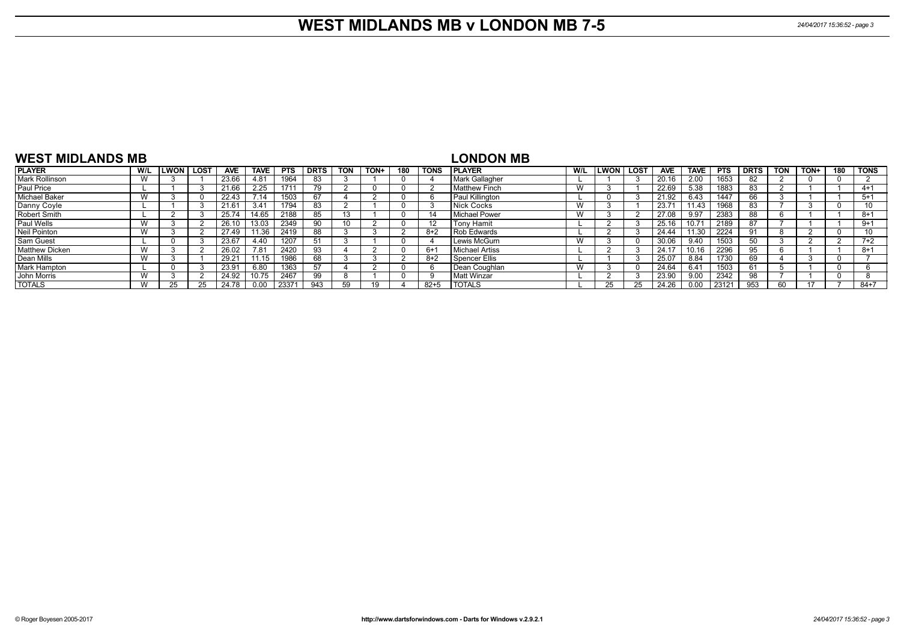#### **WEST MIDLANDS MB v LONDON MB 7-5** *24/04/2017 15:36:52 - page 3*

| <b>WEST MIDLANDS MB</b> |     |      |             |            |             |            |             |            |      |     |             | <b>LONDON MB</b>      |     |             |             |            |             |            |             |            |      |     |             |
|-------------------------|-----|------|-------------|------------|-------------|------------|-------------|------------|------|-----|-------------|-----------------------|-----|-------------|-------------|------------|-------------|------------|-------------|------------|------|-----|-------------|
| <b>PLAYER</b>           | W/L | LWON | <b>LOST</b> | <b>AVE</b> | <b>TAVE</b> | <b>PTS</b> | <b>DRTS</b> | <b>TON</b> | TON+ | 180 | <b>TONS</b> | <b>IPLAYER</b>        | W/L | <b>LWON</b> | <b>LOST</b> | <b>AVE</b> | <b>TAVE</b> | <b>PTS</b> | <b>DRTS</b> | <b>TON</b> | TON+ | 180 | <b>TONS</b> |
| <b>Mark Rollinson</b>   | W   |      |             | 23.66      | 4.81        | 1964       | 83          |            |      |     |             | <b>Mark Gallagher</b> |     |             |             | 20.16      | 2.00        | 1653       |             |            |      |     |             |
| Paul Price              |     |      |             | 21.66      | 2.25        | 1711       | 79          |            |      |     |             | Matthew Finch         | W   |             |             | 22.69      | 5.38        | 1883       |             |            |      |     | $4 + 1$     |
| <b>Michael Baker</b>    | W   |      |             | 22.43      | 7.14        | 1503       | 67          |            |      |     |             | Paul Killington       |     |             |             | 21.92      | 6.43        | 1447       |             |            |      |     | $5+1$       |
| Danny Coyle             |     |      |             | 21.61      | 3.41        | 1794       | 83          |            |      |     |             | Nick Cocks            | W   |             |             | 23.71      | 11.43       | 1968       | 83          |            |      |     | 10          |
| <b>Robert Smith</b>     |     |      |             | 25.74      | 14.65       | 2188       | 85          | 13         |      |     |             | l Michael Power       | W   |             |             | 27.08      | 9.97        | 2383       |             |            |      |     | $8+1$       |
| Paul Wells              | W   |      |             | 26.10      | 13.03       | 2349       | 90          | 10         |      |     | 12          | <b>Tony Hamit</b>     |     |             |             | 25.16      | 10.71       | 2189       | 87          |            |      |     | $9+1$       |
| Neil Pointon            | W   |      |             | 27.49      | 11.36       | 2419       | 88          |            |      |     | $8+2$       | Rob Edwards           |     |             |             | 24.44      | 11.30       | 2224       | 91          |            |      |     | 10          |
| <b>Sam Guest</b>        |     |      |             | 23.67      | 4.40        | 1207       | 51          |            |      |     |             | Lewis McGurn          | W   |             |             | 30.06      | 9.40        | 1503       |             |            |      |     | $7+2$       |
| <b>Matthew Dicken</b>   | W   |      |             | 26.02      | 7.81        | 2420       | 93          |            |      |     | $6+1$       | Michael Artiss        |     |             |             | 24.17      | 10.16       | 2296       |             |            |      |     | $8 + 1$     |
| Dean Mills              | W   |      |             | 29.21      | 11.15       | 1986       | 68          |            |      |     | $8+2$       | Spencer Ellis         |     |             |             | 25.07      | 8.84        | 1730       | 69          |            |      |     |             |
| Mark Hampton            |     |      |             | 23.91      | 6.80        | 1363       | 57          |            |      |     |             | Dean Coughlan         | W   |             |             | 24.64      | 6.41        | 1503       |             |            |      |     |             |
| John Morris             | W   |      |             | 24.92      | 10.75       | 2467       | 99          |            |      |     |             | Matt Winzar           |     |             |             | 23.90      | 9.00        | 2342       |             |            |      |     |             |
| <b>TOTALS</b>           | W   |      |             | 24.78      | 0.00        | 23371      | 943         | 59         |      |     | $82 + 5$    | <b>TOTALS</b>         |     |             |             | 24.26      | 0.00        | 23121      | 953         | -60        |      |     | $84 + 7$    |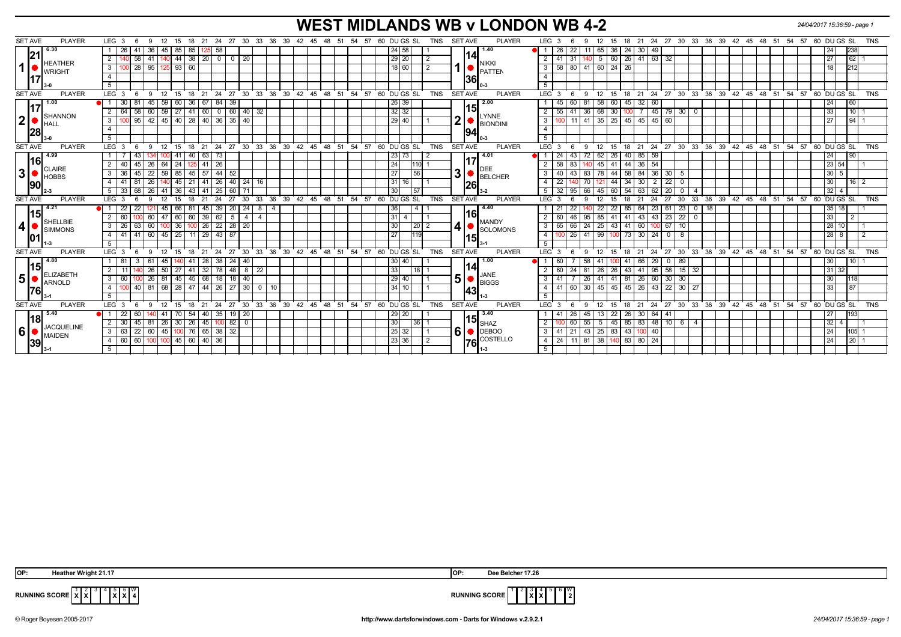# **WEST MIDLANDS WB v LONDON WB 4-2** *24/04/2017 15:36:59 - page 1*

| <b>SET AVE</b><br><b>PLAYER</b>                  | LEG <sub>3</sub><br>15<br>-9<br>12                  | 18<br>- 21                       | 24 27 30 33 36 39 42 45 48 51 54 57            |                                          |                   |    | 60 DU GS SL     |                 | <b>TNS</b> | <b>SET AVE</b> | <b>PLAYER</b>                 | LEG <sub>3</sub> | - 6                                        | 12<br>9     | 15          | 18 21                   |                      |                   |                          |  |  | 24 27 30 33 36 39 42 45 48 51 54 57 60 DU GS SL         |                   | <b>TNS</b>      |
|--------------------------------------------------|-----------------------------------------------------|----------------------------------|------------------------------------------------|------------------------------------------|-------------------|----|-----------------|-----------------|------------|----------------|-------------------------------|------------------|--------------------------------------------|-------------|-------------|-------------------------|----------------------|-------------------|--------------------------|--|--|---------------------------------------------------------|-------------------|-----------------|
| 6.30                                             | 41<br>36<br>45 85<br>l 26                           | 58<br>85                         |                                                |                                          |                   |    |                 | 24 58           |            |                | 1.40                          |                  | 22<br>26                                   | 65          | 36          | 24 30                   | 49                   |                   |                          |  |  | 24                                                      | 238               |                 |
| 21                                               | 44<br>58<br>$\overline{2}$                          | 38   20                          | 20<br>$0$ 0                                    |                                          |                   |    |                 | 29 20           |            |                | 14                            | $2 \mid 41$      | -31                                        | $-5$        | 60          | $26 \mid 41 \mid$       | $\sqrt{63}$<br>32    |                   |                          |  |  | 27                                                      |                   | 62              |
| <b>HEATHER</b><br>$\mathbf 1$<br><b>I</b> WRIGHT | $28$   95  <br>125   93   60  <br>$\mathbf{3}$      |                                  |                                                |                                          |                   |    |                 | 18 60           |            |                | <b>NIKKI</b><br><b>PATTEN</b> | $3 \mid 58$      | 80 41                                      | 60          | 24          | 26                      |                      |                   |                          |  |  | 18                                                      | 212               |                 |
|                                                  | $\overline{4}$                                      |                                  |                                                |                                          |                   |    |                 |                 |            |                | 36                            | $\overline{4}$   |                                            |             |             |                         |                      |                   |                          |  |  |                                                         |                   |                 |
|                                                  | 5                                                   |                                  |                                                |                                          |                   |    |                 |                 |            |                |                               | $5\overline{5}$  |                                            |             |             |                         |                      |                   |                          |  |  |                                                         |                   |                 |
| <b>SET AVE</b><br><b>PLAYER</b>                  | LEG <sup>3</sup><br>12<br>15<br>-9                  | $18$ 21                          | 24 27 30 33 36 39 42 45 48 51 54 57 60 DUGS SL |                                          |                   |    |                 |                 | <b>TNS</b> | <b>SET AVE</b> | <b>PLAYER</b>                 | LEG <sup>3</sup> |                                            | 12<br>- 9   |             |                         |                      |                   |                          |  |  | 15 18 21 24 27 30 33 36 39 42 45 48 51 54 57 60 DUGS SL |                   | <b>TNS</b>      |
| 1.00                                             | 81<br>45<br>  59   60                               | 84<br>36 67                      | 39                                             |                                          |                   |    |                 | 26 39           |            |                | 2.00<br>15                    |                  | 60 81<br>45                                | 58          | 60          | $45 \mid 32$            | 60                   |                   |                          |  |  | 24                                                      | 60                |                 |
| <b>SHANNON</b>                                   | 58<br>60 59 27<br>$2 \mid 64$                       | $41$ 60                          | $0$ 60<br>$40 \mid 32$                         |                                          |                   |    |                 | $32$ 32         |            |                | <b>LYNNE</b>                  | $2 \mid 55$      |                                            | 41 36 68 30 |             |                         |                      | $145$ 79 30 0     |                          |  |  | 33                                                      |                   | 10              |
| $\mathbf{2}$<br><b>I</b> HALL                    | 95   42   45   40   28   40   36   35<br>3          |                                  | 40                                             |                                          |                   |    |                 | 29 40           |            | 2 <sub>l</sub> | <b>BIONDINI</b>               | 3 <sup>1</sup>   | 100                                        |             |             | 11 41 35 25 45 45 45 60 |                      |                   |                          |  |  | 27                                                      |                   | 94              |
| 28                                               | $\overline{4}$                                      |                                  |                                                |                                          |                   |    |                 |                 |            |                |                               | $\overline{4}$   |                                            |             |             |                         |                      |                   |                          |  |  |                                                         |                   |                 |
| ۱.C                                              | 5                                                   |                                  |                                                |                                          |                   |    |                 |                 |            |                |                               | 5 <sup>7</sup>   |                                            |             |             |                         |                      |                   |                          |  |  |                                                         |                   |                 |
| <b>SET AVE</b><br><b>PLAYER</b>                  | LEG <sub>3</sub><br>12 15<br>6<br>-9                | $18$ 21                          | 24 27 30 33 36 39 42 45 48 51 54 57 60 DUGS SL |                                          |                   |    |                 |                 | <b>TNS</b> | <b>SET AVE</b> | <b>PLAYER</b>                 | LEG 3            | -6                                         | 12<br>9     |             |                         |                      |                   |                          |  |  | 15 18 21 24 27 30 33 36 39 42 45 48 51 54 57 60 DUGS SL |                   | <b>TNS</b>      |
| 4.99                                             | 43<br>$-41.$                                        | 73<br>40   63                    |                                                |                                          |                   |    |                 | 23   73         |            |                | 4.01                          |                  | -24<br>43                                  | 62<br>72    | 26          | 40   85   59            |                      |                   |                          |  |  | 24                                                      | 90                |                 |
| l16l<br><b>CLAIRE</b>                            | 45<br>64   24<br>$2 \mid 40$<br><b>26</b>           | 41 26                            |                                                |                                          |                   |    | 24              | 1110            |            |                | DEE                           | $2 \mid 58$      | 83                                         |             | 45 41       | $44 \mid 36 \mid 54$    |                      |                   |                          |  |  |                                                         | 23 54             |                 |
| 3 <sup>1</sup><br><b>HOBBS</b>                   | 3<br>45<br>22<br>$59 \mid 85$<br>$\overline{1}36$   | $-44$<br>$45 \mid 57 \mid$       | 52                                             |                                          |                   |    | 27              | 56              |            | 3 <sup>1</sup> | <b>BELCHER</b>                | 3   40           | $43 \mid 83$                               | 78          | 44          | $58 \mid 84$            | 36 <br>  30          | 5                 |                          |  |  | $30 \mid 5$                                             |                   |                 |
| 190                                              | 81<br>26<br>$40$ 45<br>4   41                       | $21 \mid 41 \mid$<br>$\sqrt{26}$ | 40<br>$24 \mid 16$                             |                                          |                   |    |                 | $31$ 16         |            |                | 126                           | $4 \mid 22$      |                                            | .70<br>121  | 44          | $\overline{34}$<br>30   | $\overline{2}$<br>22 | 0                 |                          |  |  | 30                                                      |                   | $16 \mid 2$     |
|                                                  | 68<br>$41 \mid 36$<br>5<br>$\overline{33}$<br>26    | $43 \mid 41$<br>25               | 60                                             |                                          |                   |    | 30 <sup>1</sup> | $\overline{57}$ |            |                | $3-2$                         | $5 \mid 32$      | 95                                         | 45<br>66    | 60          | 63<br>$-54$             | 62<br>$\sqrt{20}$    | $^{\circ}$        | $\overline{\mathcal{A}}$ |  |  | $32 \quad 4$                                            |                   |                 |
| <b>PLAYER</b><br><b>SET AVE</b>                  | LEG <sub>3</sub><br>12<br>15<br>-9                  | 24<br>18<br>21                   | 27                                             | 30 33 36 39 42 45 48 51 54 57 60 DUGS SL |                   |    |                 |                 | <b>TNS</b> | <b>SET AVE</b> | <b>PLAYER</b>                 | LEG 3            |                                            | 12<br>9     | 15          | 21                      | 24<br>27             | $30^{\circ}$      |                          |  |  | 33 36 39 42 45 48 51 54 57 60 DUGS SL                   |                   | <b>TNS</b>      |
| 4.21                                             | $\overline{22}$<br>22<br>45   66                    | 39<br>81<br>-45 I                | 20<br>$24 \overline{8}$                        | -4                                       |                   |    | 36              |                 |            |                | 4.40                          | 1   21           | 22                                         | 22          | 22          | 64<br>85                | 23                   | $61 \mid 23 \mid$ | $\overline{0}$<br>18     |  |  |                                                         | $35 \mid 18$      |                 |
| 15<br>SHELLBIE                                   | 60   47   60<br>2<br>$\overline{60}$                | 60 39<br>62                      | 5<br>$4 \mid 4$                                |                                          |                   |    |                 | $31$ 4          |            |                | 16<br><b>MANDY</b>            | $2 \mid 60$      | 46 95                                      | 85          | 41          | 41 43 43                | $\sqrt{23}$          | 22                | $\mathbf 0$              |  |  | 33                                                      |                   | $\overline{2}$  |
| $\boldsymbol{4}$<br>Isimmons                     | 63<br>$100$ 36<br>$3 \mid 26$<br>60                 | $100$ 26 22 28                   | 20 <sub>1</sub>                                |                                          |                   |    | 30              | 20              |            | 4 I I          | <b>SOLOMONS</b>               | $3 \mid 65$      |                                            | 66 24 25 43 |             | 41 60 100               |                      | 67 10             |                          |  |  |                                                         | 28 10             |                 |
| 101                                              | 60   45   25  <br>41<br>4   41                      | 11 29 43 87                      |                                                |                                          |                   |    | 27              |                 |            |                | 15                            | 4 I              | 100                                        | 26 41 99    | 100         | 73 30 24                |                      | 0   8             |                          |  |  | 28 <sub>1</sub>                                         | 8                 | $\overline{2}$  |
|                                                  | -5                                                  |                                  |                                                |                                          |                   |    |                 |                 |            |                |                               | 5                |                                            |             |             |                         |                      |                   |                          |  |  |                                                         |                   |                 |
| <b>SET AVE</b><br><b>PLAYER</b>                  | LEG <sub>3</sub><br>$12^{\circ}$<br>- 6<br>-9<br>15 | 18 21<br>24                      | 27                                             | 30 33 36 39 42 45 48 51 54 57 60 DUGS SL |                   |    |                 |                 | <b>TNS</b> | <b>SET AVE</b> | <b>PLAYER</b>                 | LEG 3            | - 6                                        | 12<br>9     | 15          | 18 21                   | $24$ 27 30           |                   |                          |  |  | 33 36 39 42 45 48 51 54 57 60 DUGS SL                   |                   | TNS             |
| 4.80                                             |                                                     | 38<br>-28<br>-41                 | 24<br>40                                       |                                          |                   |    |                 | 30140           |            |                | 1.00                          |                  | 60                                         | -58<br>41   |             | 66                      | 29<br>$\mathbf{0}$   | 89                |                          |  |  | 30                                                      |                   | 10 <sup>1</sup> |
| 115<br><b>ELIZABETH</b>                          | $50$   27<br>26<br>$\overline{2}$                   | 41<br>$\vert$ 32<br>78           | $\sqrt{48}$<br>$8 \mid 22$                     |                                          |                   |    | 33              | 118 I           |            |                | 14<br><b>JANE</b>             | $2 \mid 60$      | 24                                         | 26          | 26          | 43 <br>41               | 95                   | 58 15 32          |                          |  |  |                                                         | $31 \mid 32 \mid$ |                 |
| 5 <sup>1</sup><br>ARNOLD                         | 45<br>$3 \mid 60$<br>26                             | $45 \mid 68$<br>18               | 40<br>18                                       |                                          |                   |    |                 | 29 40           |            | 5 <sup>1</sup> | <b>BIGGS</b>                  | 3 $\sqrt{41}$    |                                            | 41<br>26    | 141         | $81 \mid 26$            | 60                   | $30 \mid 30$      |                          |  |  | 30                                                      |                   |                 |
| 176                                              | 40 I<br>$\overline{4}$<br>-81                       | 68   28   47   44                | 30<br>$\mathbf{0}$                             | 10                                       |                   |    |                 | 34 10           |            |                | 43                            | 4   41           | 60 30                                      | 45          | $\sqrt{45}$ | $45 \mid 26$            | 43                   | $22$ 30 $27$      |                          |  |  | 33                                                      | 87                |                 |
|                                                  | 5                                                   |                                  |                                                |                                          |                   |    |                 |                 |            |                |                               | 5                |                                            |             |             |                         |                      |                   |                          |  |  |                                                         |                   |                 |
| <b>PLAYER</b><br><b>SET AVE</b>                  | LEG <sup>3</sup><br>12<br>15<br>-9                  | 18<br>21<br>24                   | 27<br>30<br>33                                 | 36                                       | 39 42 45 48 51 54 | 57 | 60 DU GS SL     |                 | <b>TNS</b> | <b>SET AVE</b> | <b>PLAYER</b>                 | LEG <sup>3</sup> |                                            | 12<br>-9    | 15          | 21                      | 24                   | 27 30             |                          |  |  | 33 36 39 42 45 48 51 54 57 60 DUGS SL                   |                   | <b>TNS</b>      |
| 5.40                                             | 22<br>60<br>70                                      | 35<br>54<br>-40                  | 19<br>20                                       |                                          |                   |    |                 | 29   20         |            |                | 3.40                          | 1   41           | 26                                         | 13          | 22          | 30<br>26 I              | 64<br>  41           |                   |                          |  |  | 27                                                      | 193               |                 |
| 1181<br><b>JACQUELINE</b>                        | 45<br>$26 \mid 30$<br>2 30<br>-81                   | $26$   45<br>100 I               | 82<br>$\mathbf{0}$                             |                                          |                   |    | 30              | 1361            |            |                | 15<br><b>SHAZ</b>             | 2 <sub>1</sub>   | 60                                         | 55<br>5     | 45          | 85 83 48 10 6           |                      |                   | $\overline{4}$           |  |  | 32                                                      | $\overline{4}$    |                 |
| 6 <sup>1</sup><br>MAIDEN                         | 22 60 45 100 76 65 38 32<br>$3 \mid 63$             |                                  |                                                |                                          |                   |    |                 | 25 32           |            | <b>61</b>      | $\bullet$ DEBOO               |                  | $3$   41   21   43   25   83               |             |             | 43 100 40               |                      |                   |                          |  |  | 24                                                      |                   | 105             |
| <b>39</b>                                        | 60   100   100   45   60   40   36<br>4 60          |                                  |                                                |                                          |                   |    |                 | 23 36           |            |                | COSTELLO<br>76                |                  | 4   24   11   81   38   140   83   80   24 |             |             |                         |                      |                   |                          |  |  | 24                                                      | 20                |                 |
|                                                  |                                                     |                                  |                                                |                                          |                   |    |                 |                 |            |                | $1 - 3$                       | $5-1$            |                                            |             |             |                         |                      |                   |                          |  |  |                                                         |                   |                 |

 4 5 **X X**  $\frac{W}{4}$ 



**RUNNING SCORE**  $\begin{bmatrix} 1 \\ X \end{bmatrix}$   $\begin{bmatrix} 2 \\ X \end{bmatrix}$